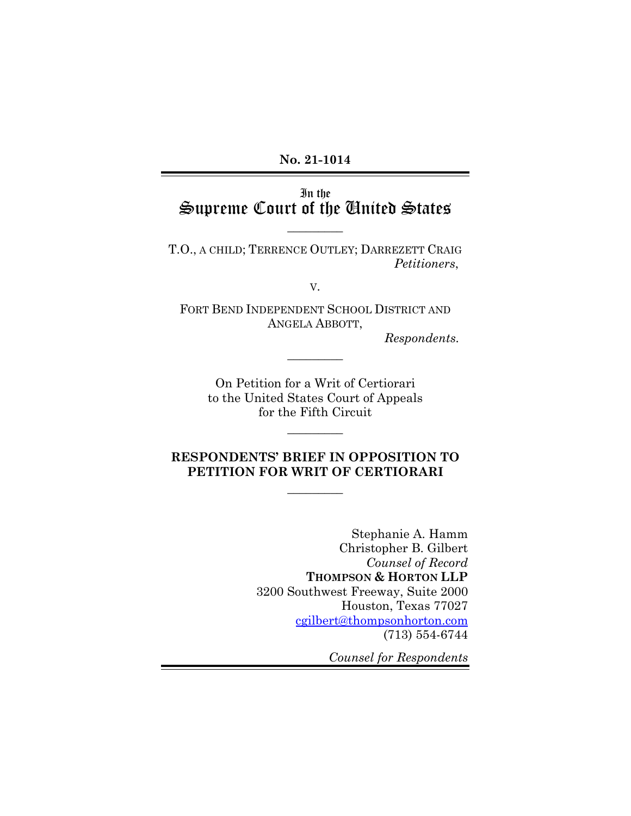**No. 21-1014** 

# In the Supreme Court of the United States

 $\overline{\phantom{a}}$ 

T.O., A CHILD; TERRENCE OUTLEY; DARREZETT CRAIG *Petitioners*,

V.

FORT BEND INDEPENDENT SCHOOL DISTRICT AND ANGELA ABBOTT,

 $\overline{\phantom{a}}$   $\overline{\phantom{a}}$ 

*Respondents.*

On Petition for a Writ of Certiorari to the United States Court of Appeals for the Fifth Circuit

 $\overline{\phantom{a}}$   $\overline{\phantom{a}}$ 

## **RESPONDENTS' BRIEF IN OPPOSITION TO PETITION FOR WRIT OF CERTIORARI**

 $\overline{\phantom{a}}$ 

Stephanie A. Hamm Christopher B. Gilbert *Counsel of Record*  **THOMPSON & HORTON LLP**  3200 Southwest Freeway, Suite 2000 Houston, Texas 77027 cgilbert@thompsonhorton.com (713) 554-6744

*Counsel for Respondents*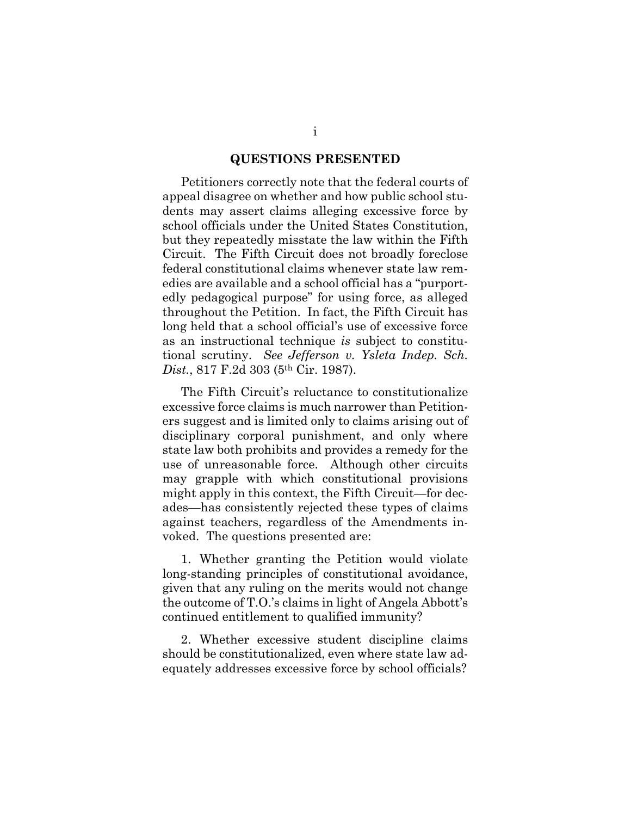#### **QUESTIONS PRESENTED**

Petitioners correctly note that the federal courts of appeal disagree on whether and how public school students may assert claims alleging excessive force by school officials under the United States Constitution, but they repeatedly misstate the law within the Fifth Circuit. The Fifth Circuit does not broadly foreclose federal constitutional claims whenever state law remedies are available and a school official has a "purportedly pedagogical purpose" for using force, as alleged throughout the Petition. In fact, the Fifth Circuit has long held that a school official's use of excessive force as an instructional technique *is* subject to constitutional scrutiny. *See Jefferson v. Ysleta Indep. Sch. Dist.*, 817 F.2d 303 (5th Cir. 1987).

The Fifth Circuit's reluctance to constitutionalize excessive force claims is much narrower than Petitioners suggest and is limited only to claims arising out of disciplinary corporal punishment, and only where state law both prohibits and provides a remedy for the use of unreasonable force. Although other circuits may grapple with which constitutional provisions might apply in this context, the Fifth Circuit—for decades—has consistently rejected these types of claims against teachers, regardless of the Amendments invoked. The questions presented are:

1. Whether granting the Petition would violate long-standing principles of constitutional avoidance, given that any ruling on the merits would not change the outcome of T.O.'s claims in light of Angela Abbott's continued entitlement to qualified immunity?

2. Whether excessive student discipline claims should be constitutionalized, even where state law adequately addresses excessive force by school officials?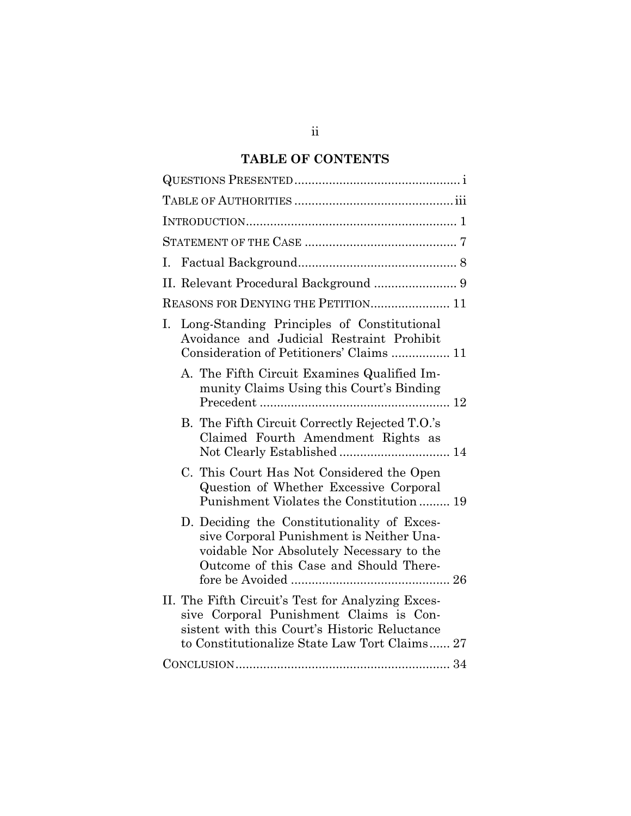# **TABLE OF CONTENTS**

| L.                                                                                                                                                                                             |
|------------------------------------------------------------------------------------------------------------------------------------------------------------------------------------------------|
| II. Relevant Procedural Background  9                                                                                                                                                          |
| REASONS FOR DENYING THE PETITION 11                                                                                                                                                            |
| Long-Standing Principles of Constitutional<br>I.<br>Avoidance and Judicial Restraint Prohibit<br>Consideration of Petitioners' Claims  11                                                      |
| A. The Fifth Circuit Examines Qualified Im-<br>munity Claims Using this Court's Binding                                                                                                        |
| B. The Fifth Circuit Correctly Rejected T.O.'s<br>Claimed Fourth Amendment Rights as                                                                                                           |
| C. This Court Has Not Considered the Open<br>Question of Whether Excessive Corporal<br>Punishment Violates the Constitution 19                                                                 |
| D. Deciding the Constitutionality of Exces-<br>sive Corporal Punishment is Neither Una-<br>voidable Nor Absolutely Necessary to the<br>Outcome of this Case and Should There-                  |
| II. The Fifth Circuit's Test for Analyzing Exces-<br>sive Corporal Punishment Claims is Con-<br>sistent with this Court's Historic Reluctance<br>to Constitutionalize State Law Tort Claims 27 |
|                                                                                                                                                                                                |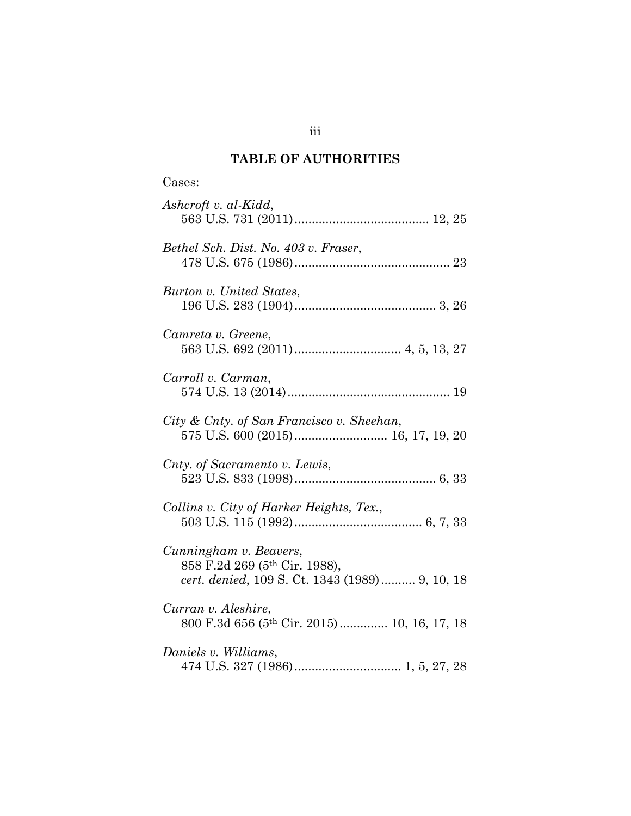# **TABLE OF AUTHORITIES**

| Cases:                                                                                                    |
|-----------------------------------------------------------------------------------------------------------|
| Ashcroft v. al-Kidd,                                                                                      |
| Bethel Sch. Dist. No. 403 v. Fraser,                                                                      |
| Burton v. United States,                                                                                  |
| Camreta v. Greene,                                                                                        |
| Carroll v. Carman,                                                                                        |
| City & Cnty. of San Francisco v. Sheehan,                                                                 |
| Cnty. of Sacramento v. Lewis,                                                                             |
| Collins v. City of Harker Heights, Tex.,                                                                  |
| Cunningham v. Beavers,<br>858 F.2d 269 (5th Cir. 1988),<br>cert. denied, 109 S. Ct. 1343 (1989) 9, 10, 18 |
| Curran v. Aleshire,<br>800 F.3d 656 (5th Cir. 2015) 10, 16, 17, 18                                        |
| Daniels v. Williams,                                                                                      |

iii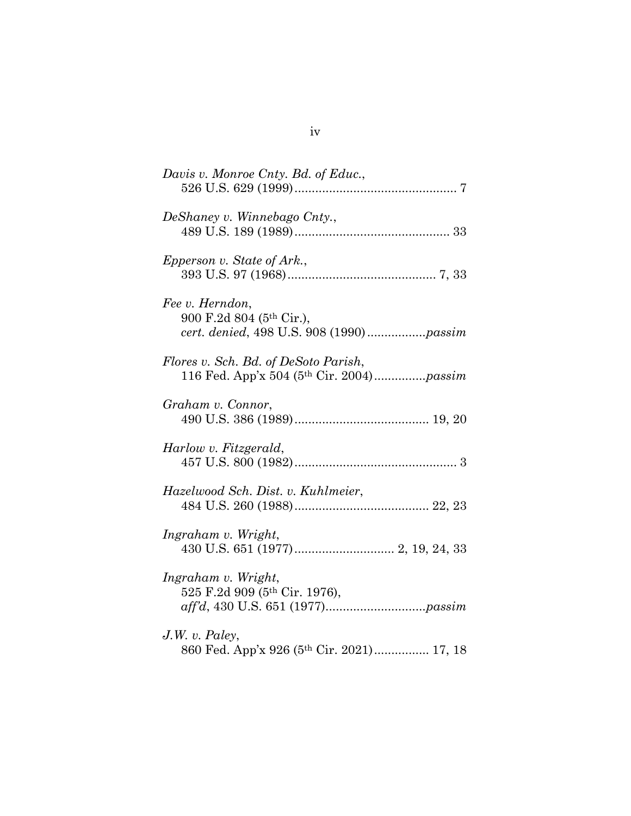| Davis v. Monroe Cnty. Bd. of Educ.,                                              |
|----------------------------------------------------------------------------------|
| DeShaney v. Winnebago Cnty.,                                                     |
| Epperson v. State of Ark.,                                                       |
| Fee v. Herndon,<br>900 F.2d 804 (5th Cir.),                                      |
| Flores v. Sch. Bd. of DeSoto Parish,<br>116 Fed. App'x 504 (5th Cir. 2004)passim |
| Graham v. Connor,                                                                |
| Harlow v. Fitzgerald,                                                            |
| Hazelwood Sch. Dist. v. Kuhlmeier,                                               |
| Ingraham v. Wright,                                                              |
| Ingraham v. Wright,<br>525 F.2d 909 (5th Cir. 1976),                             |
| $J.W.$ v. Paley,<br>860 Fed. App'x 926 (5th Cir. 2021) 17, 18                    |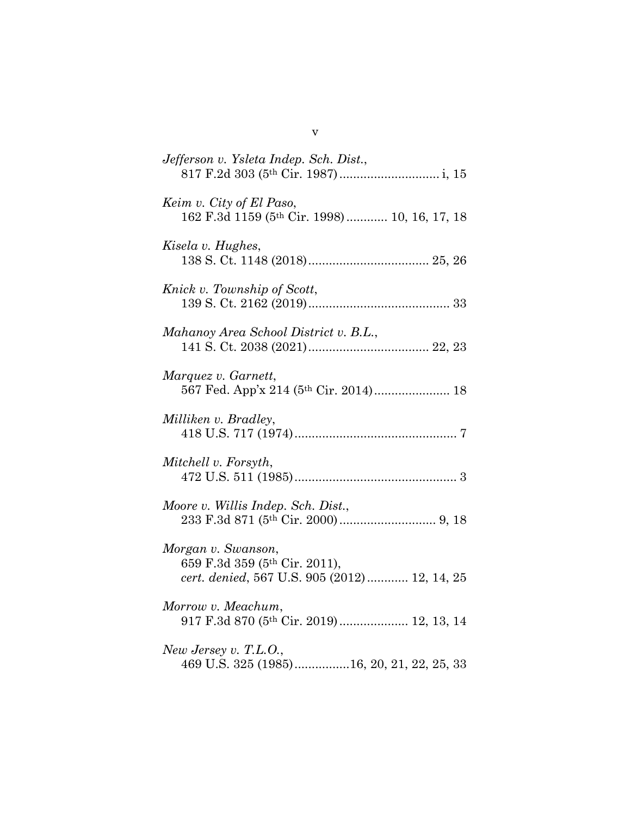| Jefferson v. Ysleta Indep. Sch. Dist.,                                                              |
|-----------------------------------------------------------------------------------------------------|
| Keim v. City of El Paso,<br>162 F.3d 1159 (5th Cir. 1998) 10, 16, 17, 18                            |
| Kisela v. Hughes,                                                                                   |
| Knick v. Township of Scott,                                                                         |
| Mahanoy Area School District v. B.L.,                                                               |
| Marquez v. Garnett,<br>567 Fed. App'x 214 (5th Cir. 2014) 18                                        |
| Milliken v. Bradley,                                                                                |
| Mitchell v. Forsyth,                                                                                |
| Moore v. Willis Indep. Sch. Dist.,                                                                  |
| Morgan v. Swanson,<br>659 F.3d 359 (5th Cir. 2011),<br>cert. denied, 567 U.S. 905 (2012) 12, 14, 25 |
| Morrow v. Meachum,<br>917 F.3d 870 (5th Cir. 2019) 12, 13, 14                                       |
| New Jersey v. T.L.O.,<br>469 U.S. 325 (1985)16, 20, 21, 22, 25, 33                                  |

v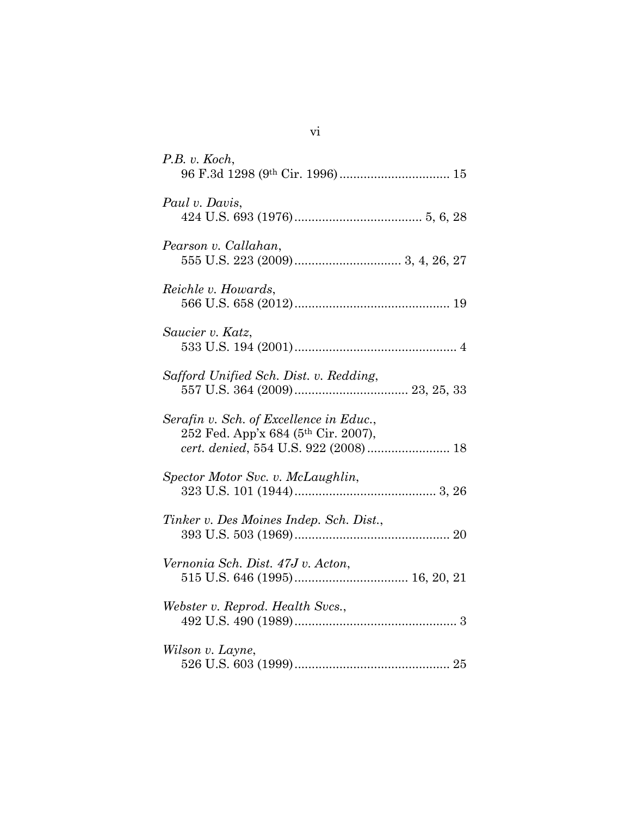| P.B. v. Koch,                                                                                                                      |
|------------------------------------------------------------------------------------------------------------------------------------|
| Paul v. Davis,                                                                                                                     |
| Pearson v. Callahan,                                                                                                               |
| Reichle v. Howards,                                                                                                                |
| Saucier v. Katz,                                                                                                                   |
| Safford Unified Sch. Dist. v. Redding,                                                                                             |
| Serafin v. Sch. of Excellence in Educ.,<br>252 Fed. App'x 684 (5 <sup>th</sup> Cir. 2007),<br>cert. denied, 554 U.S. 922 (2008) 18 |
| Spector Motor Svc. v. McLaughlin,                                                                                                  |
| Tinker v. Des Moines Indep. Sch. Dist.,                                                                                            |
| Vernonia Sch. Dist. 47J v. Acton,                                                                                                  |
| Webster v. Reprod. Health Svcs.,                                                                                                   |
| Wilson v. Layne,                                                                                                                   |

vi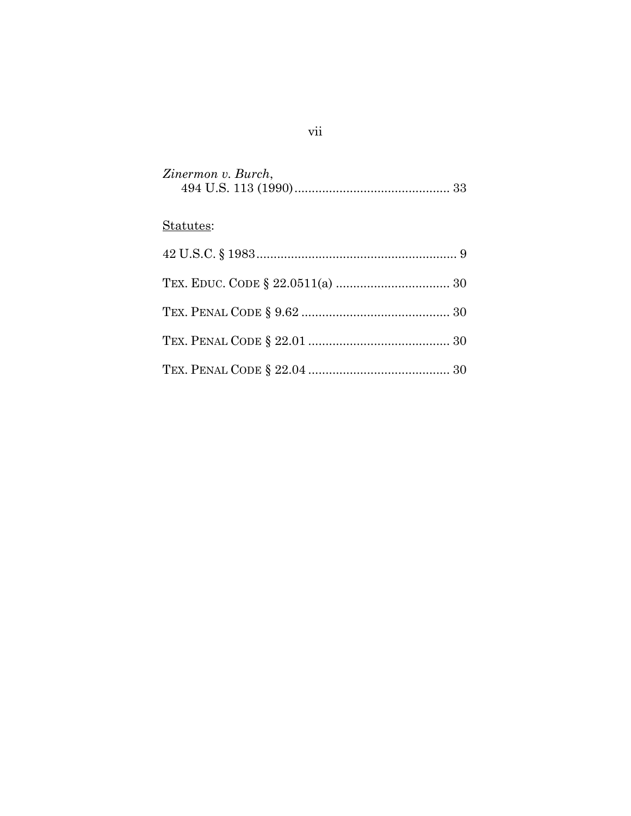| Zinermon v. Burch, |  |
|--------------------|--|
|                    |  |

# Statutes:

# vii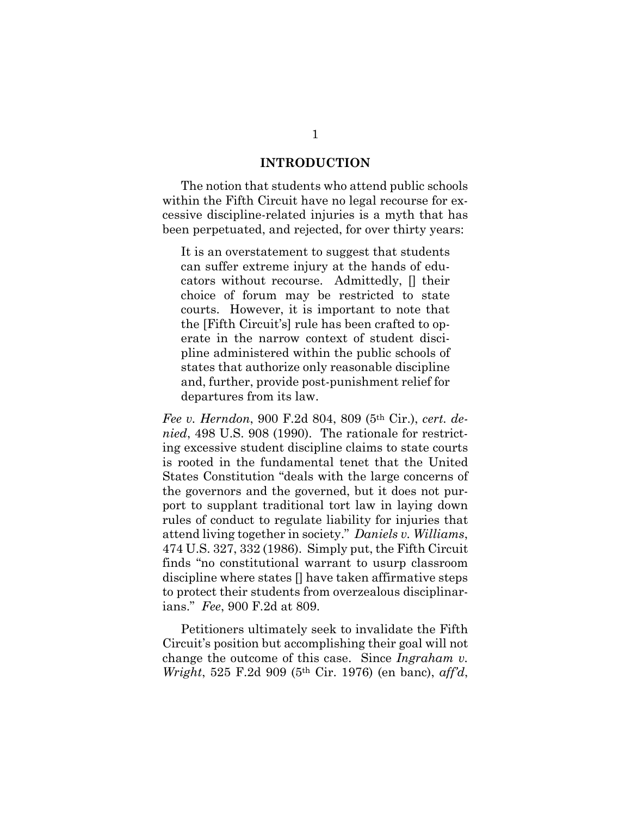#### **INTRODUCTION**

The notion that students who attend public schools within the Fifth Circuit have no legal recourse for excessive discipline-related injuries is a myth that has been perpetuated, and rejected, for over thirty years:

It is an overstatement to suggest that students can suffer extreme injury at the hands of educators without recourse. Admittedly, [] their choice of forum may be restricted to state courts. However, it is important to note that the [Fifth Circuit's] rule has been crafted to operate in the narrow context of student discipline administered within the public schools of states that authorize only reasonable discipline and, further, provide post-punishment relief for departures from its law.

*Fee v. Herndon*, 900 F.2d 804, 809 (5th Cir.), *cert. denied*, 498 U.S. 908 (1990). The rationale for restricting excessive student discipline claims to state courts is rooted in the fundamental tenet that the United States Constitution "deals with the large concerns of the governors and the governed, but it does not purport to supplant traditional tort law in laying down rules of conduct to regulate liability for injuries that attend living together in society." *Daniels v. Williams*, 474 U.S. 327, 332 (1986). Simply put, the Fifth Circuit finds "no constitutional warrant to usurp classroom discipline where states [] have taken affirmative steps to protect their students from overzealous disciplinarians." *Fee*, 900 F.2d at 809.

 Petitioners ultimately seek to invalidate the Fifth Circuit's position but accomplishing their goal will not change the outcome of this case. Since *Ingraham v. Wright*, 525 F.2d 909 (5th Cir. 1976) (en banc), *aff'd*,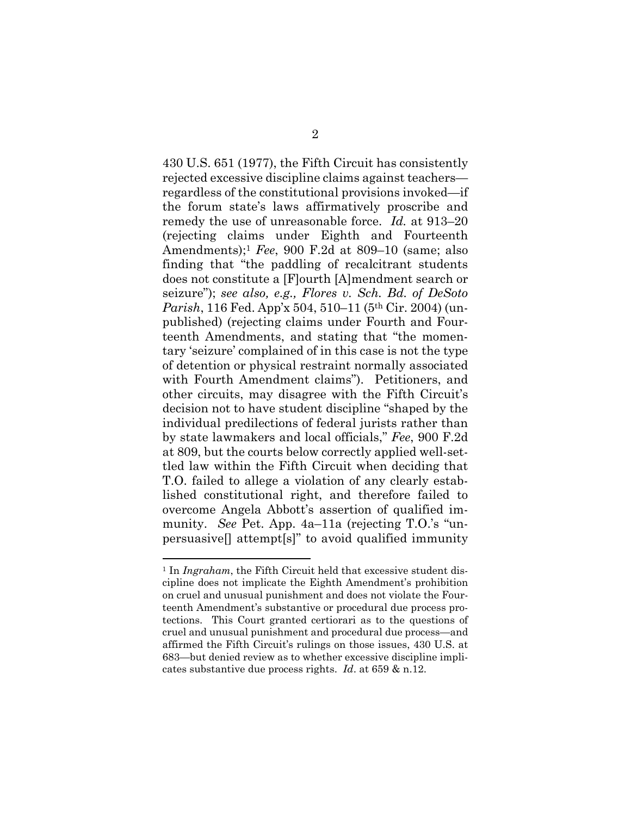430 U.S. 651 (1977), the Fifth Circuit has consistently rejected excessive discipline claims against teachers regardless of the constitutional provisions invoked—if the forum state's laws affirmatively proscribe and remedy the use of unreasonable force. *Id.* at 913–20 (rejecting claims under Eighth and Fourteenth Amendments);1 *Fee*, 900 F.2d at 809–10 (same; also finding that "the paddling of recalcitrant students does not constitute a [F]ourth [A]mendment search or seizure"); *see also, e.g., Flores v. Sch. Bd. of DeSoto Parish*, 116 Fed. App'x 504, 510–11 (5th Cir. 2004) (unpublished) (rejecting claims under Fourth and Fourteenth Amendments, and stating that "the momentary 'seizure' complained of in this case is not the type of detention or physical restraint normally associated with Fourth Amendment claims"). Petitioners, and other circuits, may disagree with the Fifth Circuit's decision not to have student discipline "shaped by the individual predilections of federal jurists rather than by state lawmakers and local officials," *Fee*, 900 F.2d at 809, but the courts below correctly applied well-settled law within the Fifth Circuit when deciding that T.O. failed to allege a violation of any clearly established constitutional right, and therefore failed to overcome Angela Abbott's assertion of qualified immunity. *See* Pet. App. 4a–11a (rejecting T.O.'s "unpersuasive[] attempt[s]" to avoid qualified immunity

<sup>&</sup>lt;sup>1</sup> In *Ingraham*, the Fifth Circuit held that excessive student discipline does not implicate the Eighth Amendment's prohibition on cruel and unusual punishment and does not violate the Fourteenth Amendment's substantive or procedural due process protections. This Court granted certiorari as to the questions of cruel and unusual punishment and procedural due process—and affirmed the Fifth Circuit's rulings on those issues, 430 U.S. at 683—but denied review as to whether excessive discipline implicates substantive due process rights. *Id*. at 659 & n.12.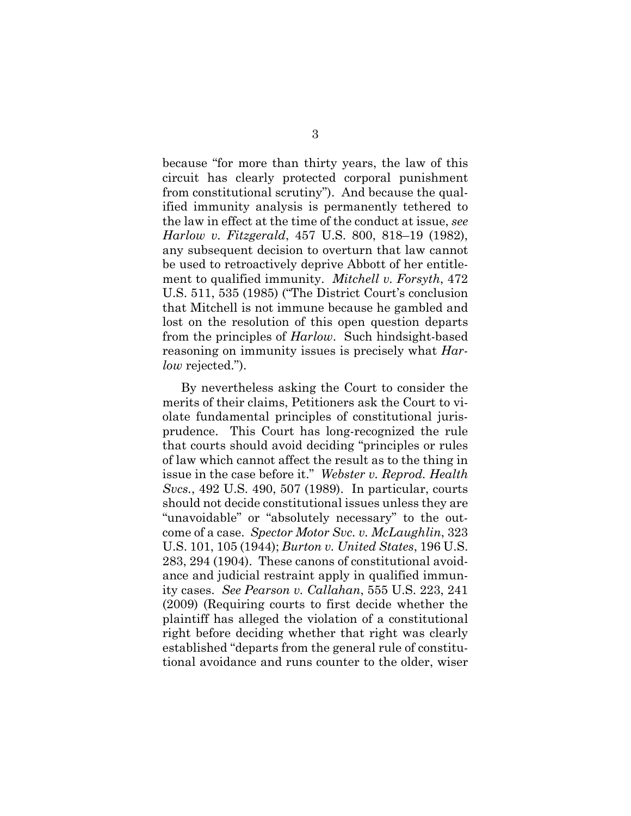because "for more than thirty years, the law of this circuit has clearly protected corporal punishment from constitutional scrutiny"). And because the qualified immunity analysis is permanently tethered to the law in effect at the time of the conduct at issue, *see Harlow v. Fitzgerald*, 457 U.S. 800, 818–19 (1982), any subsequent decision to overturn that law cannot be used to retroactively deprive Abbott of her entitlement to qualified immunity. *Mitchell v. Forsyth*, 472 U.S. 511, 535 (1985) ("The District Court's conclusion that Mitchell is not immune because he gambled and lost on the resolution of this open question departs from the principles of *Harlow*. Such hindsight-based reasoning on immunity issues is precisely what *Harlow* rejected.").

 By nevertheless asking the Court to consider the merits of their claims, Petitioners ask the Court to violate fundamental principles of constitutional jurisprudence. This Court has long-recognized the rule that courts should avoid deciding "principles or rules of law which cannot affect the result as to the thing in issue in the case before it." *Webster v. Reprod. Health Svcs.*, 492 U.S. 490, 507 (1989). In particular, courts should not decide constitutional issues unless they are "unavoidable" or "absolutely necessary" to the outcome of a case. *Spector Motor Svc. v. McLaughlin*, 323 U.S. 101, 105 (1944); *Burton v. United States*, 196 U.S. 283, 294 (1904). These canons of constitutional avoidance and judicial restraint apply in qualified immunity cases. *See Pearson v. Callahan*, 555 U.S. 223, 241 (2009) (Requiring courts to first decide whether the plaintiff has alleged the violation of a constitutional right before deciding whether that right was clearly established "departs from the general rule of constitutional avoidance and runs counter to the older, wiser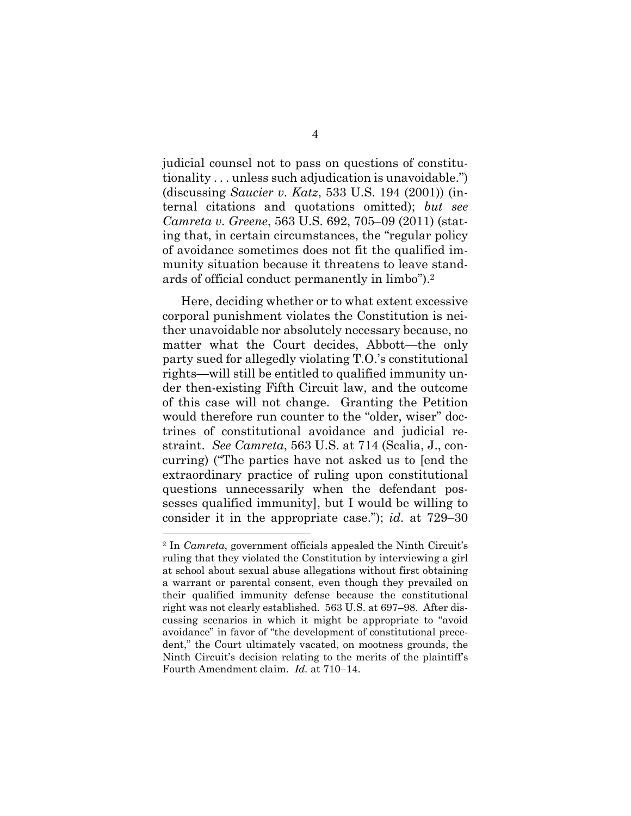judicial counsel not to pass on questions of constitutionality . . . unless such adjudication is unavoidable.") (discussing *Saucier v. Katz*, 533 U.S. 194 (2001)) (internal citations and quotations omitted); *but see Camreta v. Greene*, 563 U.S. 692, 705–09 (2011) (stating that, in certain circumstances, the "regular policy of avoidance sometimes does not fit the qualified immunity situation because it threatens to leave standards of official conduct permanently in limbo").2

Here, deciding whether or to what extent excessive corporal punishment violates the Constitution is neither unavoidable nor absolutely necessary because, no matter what the Court decides, Abbott—the only party sued for allegedly violating T.O.'s constitutional rights—will still be entitled to qualified immunity under then-existing Fifth Circuit law, and the outcome of this case will not change. Granting the Petition would therefore run counter to the "older, wiser" doctrines of constitutional avoidance and judicial restraint. *See Camreta*, 563 U.S. at 714 (Scalia, J., concurring) ("The parties have not asked us to [end the extraordinary practice of ruling upon constitutional questions unnecessarily when the defendant possesses qualified immunity], but I would be willing to consider it in the appropriate case."); *id.* at 729–30

<sup>2</sup> In *Camreta*, government officials appealed the Ninth Circuit's ruling that they violated the Constitution by interviewing a girl at school about sexual abuse allegations without first obtaining a warrant or parental consent, even though they prevailed on their qualified immunity defense because the constitutional right was not clearly established. 563 U.S. at 697–98. After discussing scenarios in which it might be appropriate to "avoid avoidance" in favor of "the development of constitutional precedent," the Court ultimately vacated, on mootness grounds, the Ninth Circuit's decision relating to the merits of the plaintiff's Fourth Amendment claim. *Id.* at 710–14.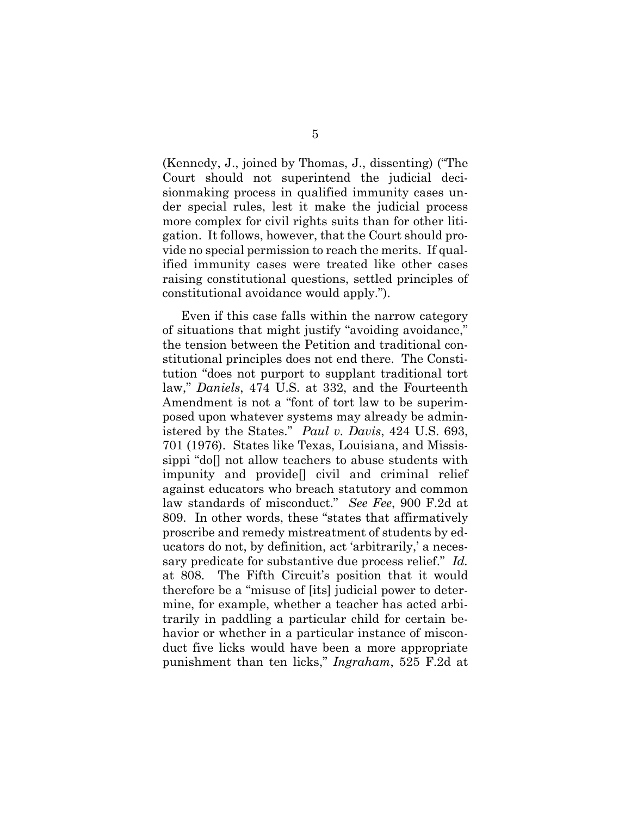(Kennedy, J., joined by Thomas, J., dissenting) ("The Court should not superintend the judicial decisionmaking process in qualified immunity cases under special rules, lest it make the judicial process more complex for civil rights suits than for other litigation. It follows, however, that the Court should provide no special permission to reach the merits. If qualified immunity cases were treated like other cases raising constitutional questions, settled principles of constitutional avoidance would apply.").

 Even if this case falls within the narrow category of situations that might justify "avoiding avoidance," the tension between the Petition and traditional constitutional principles does not end there. The Constitution "does not purport to supplant traditional tort law," *Daniels*, 474 U.S. at 332, and the Fourteenth Amendment is not a "font of tort law to be superimposed upon whatever systems may already be administered by the States." *Paul v. Davis*, 424 U.S. 693, 701 (1976). States like Texas, Louisiana, and Mississippi "do[] not allow teachers to abuse students with impunity and provide[] civil and criminal relief against educators who breach statutory and common law standards of misconduct." *See Fee*, 900 F.2d at 809. In other words, these "states that affirmatively proscribe and remedy mistreatment of students by educators do not, by definition, act 'arbitrarily,' a necessary predicate for substantive due process relief." *Id.* at 808. The Fifth Circuit's position that it would therefore be a "misuse of [its] judicial power to determine, for example, whether a teacher has acted arbitrarily in paddling a particular child for certain behavior or whether in a particular instance of misconduct five licks would have been a more appropriate punishment than ten licks," *Ingraham*, 525 F.2d at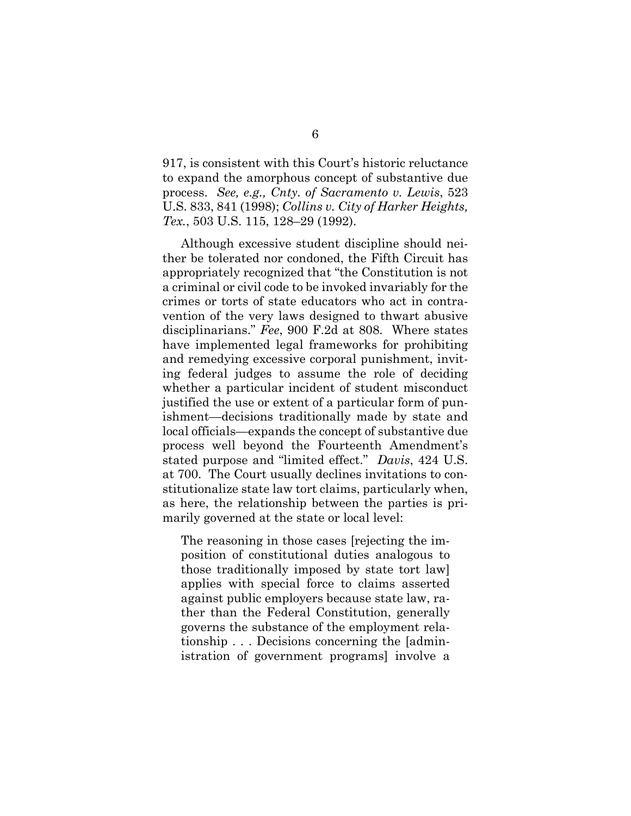917, is consistent with this Court's historic reluctance to expand the amorphous concept of substantive due process. *See, e.g., Cnty. of Sacramento v. Lewis*, 523 U.S. 833, 841 (1998); *Collins v. City of Harker Heights, Tex.*, 503 U.S. 115, 128–29 (1992).

Although excessive student discipline should neither be tolerated nor condoned, the Fifth Circuit has appropriately recognized that "the Constitution is not a criminal or civil code to be invoked invariably for the crimes or torts of state educators who act in contravention of the very laws designed to thwart abusive disciplinarians." *Fee*, 900 F.2d at 808. Where states have implemented legal frameworks for prohibiting and remedying excessive corporal punishment, inviting federal judges to assume the role of deciding whether a particular incident of student misconduct justified the use or extent of a particular form of punishment—decisions traditionally made by state and local officials—expands the concept of substantive due process well beyond the Fourteenth Amendment's stated purpose and "limited effect." *Davis*, 424 U.S. at 700. The Court usually declines invitations to constitutionalize state law tort claims, particularly when, as here, the relationship between the parties is primarily governed at the state or local level:

The reasoning in those cases [rejecting the imposition of constitutional duties analogous to those traditionally imposed by state tort law] applies with special force to claims asserted against public employers because state law, rather than the Federal Constitution, generally governs the substance of the employment relationship . . . Decisions concerning the [administration of government programs] involve a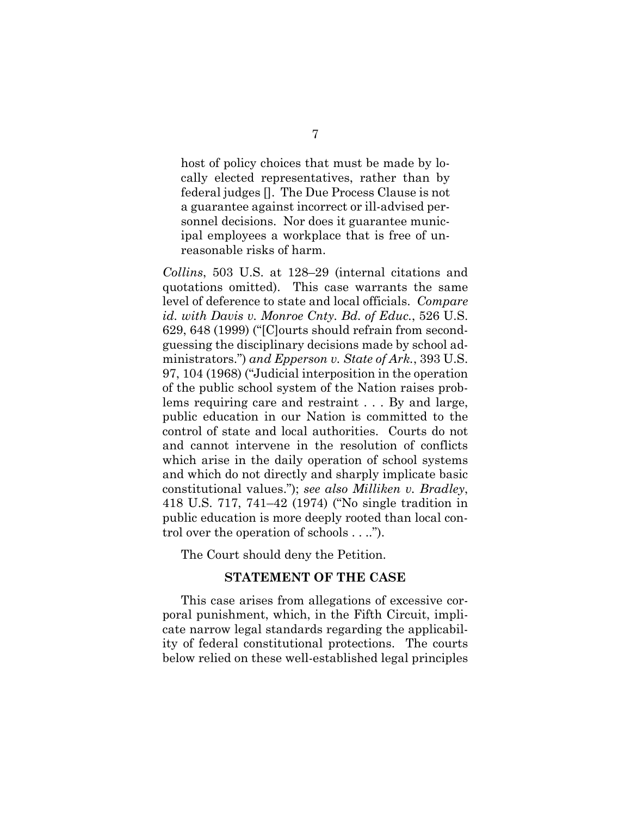host of policy choices that must be made by locally elected representatives, rather than by federal judges []. The Due Process Clause is not a guarantee against incorrect or ill-advised personnel decisions. Nor does it guarantee municipal employees a workplace that is free of unreasonable risks of harm.

*Collins*, 503 U.S. at 128–29 (internal citations and quotations omitted). This case warrants the same level of deference to state and local officials. *Compare id. with Davis v. Monroe Cnty. Bd. of Educ.*, 526 U.S. 629, 648 (1999) ("[C]ourts should refrain from secondguessing the disciplinary decisions made by school administrators.") *and Epperson v. State of Ark.*, 393 U.S. 97, 104 (1968) ("Judicial interposition in the operation of the public school system of the Nation raises problems requiring care and restraint . . . By and large, public education in our Nation is committed to the control of state and local authorities. Courts do not and cannot intervene in the resolution of conflicts which arise in the daily operation of school systems and which do not directly and sharply implicate basic constitutional values."); *see also Milliken v. Bradley*, 418 U.S. 717, 741–42 (1974) ("No single tradition in public education is more deeply rooted than local control over the operation of schools . . ..").

The Court should deny the Petition.

### **STATEMENT OF THE CASE**

This case arises from allegations of excessive corporal punishment, which, in the Fifth Circuit, implicate narrow legal standards regarding the applicability of federal constitutional protections. The courts below relied on these well-established legal principles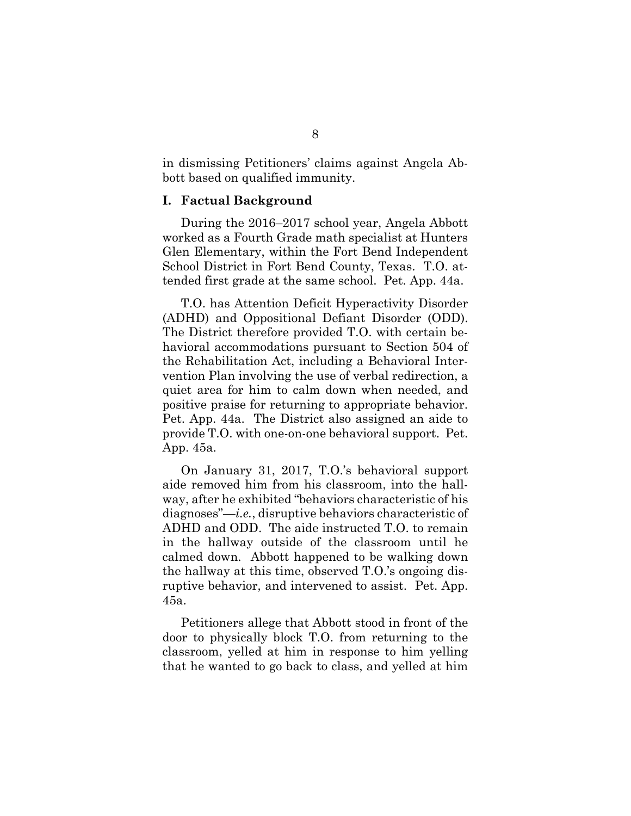in dismissing Petitioners' claims against Angela Abbott based on qualified immunity.

#### **I. Factual Background**

During the 2016–2017 school year, Angela Abbott worked as a Fourth Grade math specialist at Hunters Glen Elementary, within the Fort Bend Independent School District in Fort Bend County, Texas. T.O. attended first grade at the same school. Pet. App. 44a.

T.O. has Attention Deficit Hyperactivity Disorder (ADHD) and Oppositional Defiant Disorder (ODD). The District therefore provided T.O. with certain behavioral accommodations pursuant to Section 504 of the Rehabilitation Act, including a Behavioral Intervention Plan involving the use of verbal redirection, a quiet area for him to calm down when needed, and positive praise for returning to appropriate behavior. Pet. App. 44a. The District also assigned an aide to provide T.O. with one-on-one behavioral support. Pet. App. 45a.

On January 31, 2017, T.O.'s behavioral support aide removed him from his classroom, into the hallway, after he exhibited "behaviors characteristic of his diagnoses"—*i.e.*, disruptive behaviors characteristic of ADHD and ODD. The aide instructed T.O. to remain in the hallway outside of the classroom until he calmed down. Abbott happened to be walking down the hallway at this time, observed T.O.'s ongoing disruptive behavior, and intervened to assist. Pet. App. 45a.

Petitioners allege that Abbott stood in front of the door to physically block T.O. from returning to the classroom, yelled at him in response to him yelling that he wanted to go back to class, and yelled at him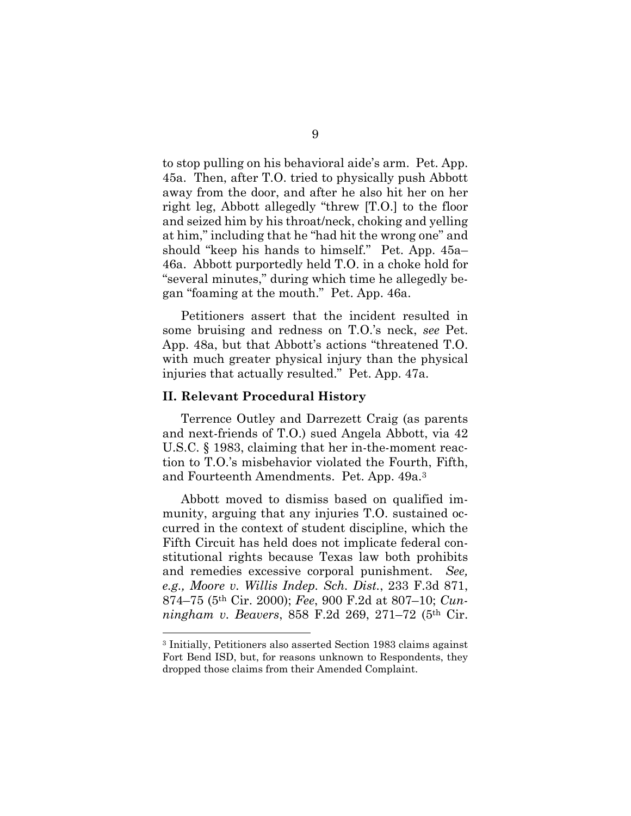to stop pulling on his behavioral aide's arm. Pet. App. 45a. Then, after T.O. tried to physically push Abbott away from the door, and after he also hit her on her right leg, Abbott allegedly "threw [T.O.] to the floor and seized him by his throat/neck, choking and yelling at him," including that he "had hit the wrong one" and should "keep his hands to himself." Pet. App. 45a– 46a. Abbott purportedly held T.O. in a choke hold for "several minutes," during which time he allegedly began "foaming at the mouth." Pet. App. 46a.

Petitioners assert that the incident resulted in some bruising and redness on T.O.'s neck, *see* Pet. App. 48a, but that Abbott's actions "threatened T.O. with much greater physical injury than the physical injuries that actually resulted." Pet. App. 47a.

### **II. Relevant Procedural History**

Terrence Outley and Darrezett Craig (as parents and next-friends of T.O.) sued Angela Abbott, via 42 U.S.C. § 1983, claiming that her in-the-moment reaction to T.O.'s misbehavior violated the Fourth, Fifth, and Fourteenth Amendments. Pet. App. 49a.3

Abbott moved to dismiss based on qualified immunity, arguing that any injuries T.O. sustained occurred in the context of student discipline, which the Fifth Circuit has held does not implicate federal constitutional rights because Texas law both prohibits and remedies excessive corporal punishment. *See, e.g., Moore v. Willis Indep. Sch. Dist.*, 233 F.3d 871, 874–75 (5th Cir. 2000); *Fee*, 900 F.2d at 807–10; *Cunningham v. Beavers*, 858 F.2d 269, 271–72 (5th Cir.

<sup>3</sup> Initially, Petitioners also asserted Section 1983 claims against Fort Bend ISD, but, for reasons unknown to Respondents, they dropped those claims from their Amended Complaint.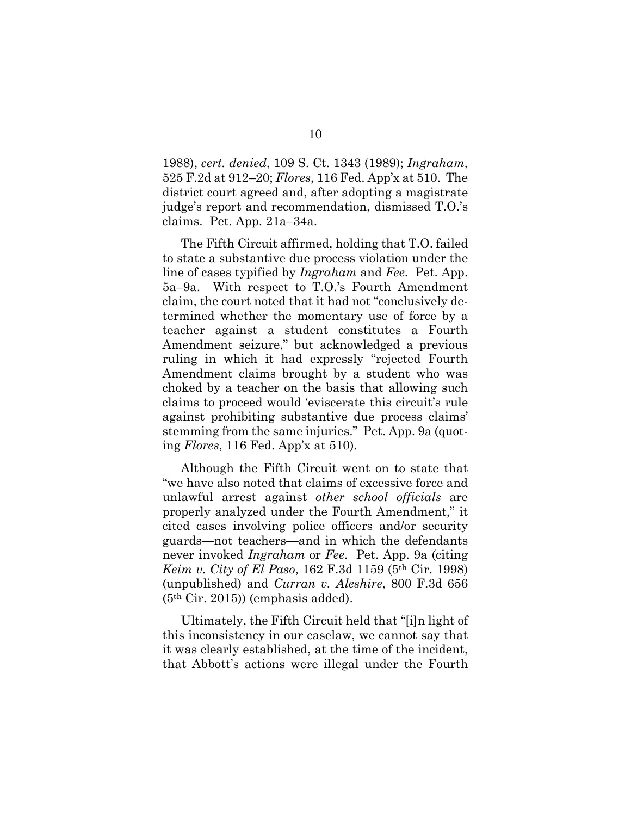1988), *cert. denied*, 109 S. Ct. 1343 (1989); *Ingraham*, 525 F.2d at 912–20; *Flores*, 116 Fed. App'x at 510. The district court agreed and, after adopting a magistrate judge's report and recommendation, dismissed T.O.'s claims. Pet. App. 21a–34a.

The Fifth Circuit affirmed, holding that T.O. failed to state a substantive due process violation under the line of cases typified by *Ingraham* and *Fee*. Pet. App. 5a–9a. With respect to T.O.'s Fourth Amendment claim, the court noted that it had not "conclusively determined whether the momentary use of force by a teacher against a student constitutes a Fourth Amendment seizure," but acknowledged a previous ruling in which it had expressly "rejected Fourth Amendment claims brought by a student who was choked by a teacher on the basis that allowing such claims to proceed would 'eviscerate this circuit's rule against prohibiting substantive due process claims' stemming from the same injuries." Pet. App. 9a (quoting *Flores*, 116 Fed. App'x at 510).

Although the Fifth Circuit went on to state that "we have also noted that claims of excessive force and unlawful arrest against *other school officials* are properly analyzed under the Fourth Amendment," it cited cases involving police officers and/or security guards—not teachers—and in which the defendants never invoked *Ingraham* or *Fee*. Pet. App. 9a (citing *Keim v. City of El Paso*, 162 F.3d 1159 (5th Cir. 1998) (unpublished) and *Curran v. Aleshire*, 800 F.3d 656 (5th Cir. 2015)) (emphasis added).

Ultimately, the Fifth Circuit held that "[i]n light of this inconsistency in our caselaw, we cannot say that it was clearly established, at the time of the incident, that Abbott's actions were illegal under the Fourth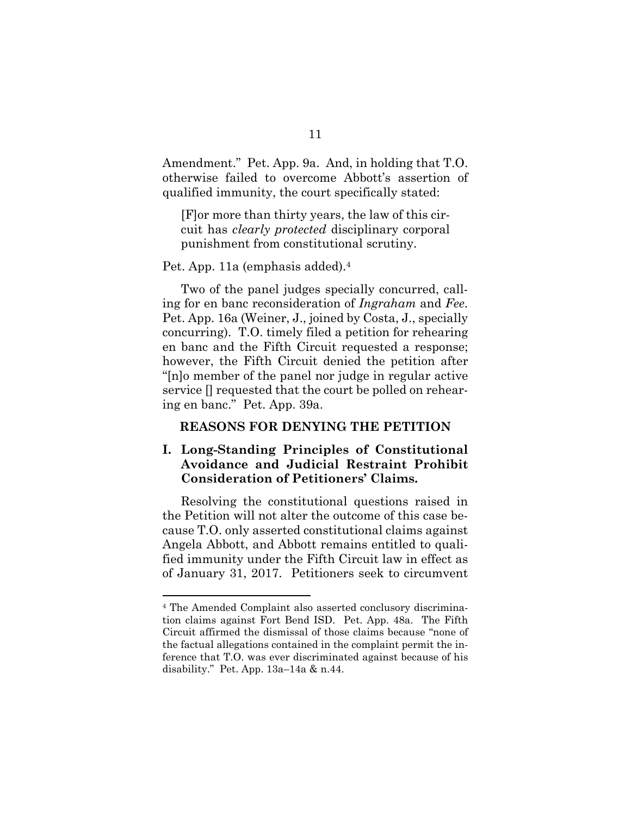Amendment." Pet. App. 9a. And, in holding that T.O. otherwise failed to overcome Abbott's assertion of qualified immunity, the court specifically stated:

[F]or more than thirty years, the law of this circuit has *clearly protected* disciplinary corporal punishment from constitutional scrutiny.

Pet. App. 11a (emphasis added).4

Two of the panel judges specially concurred, calling for en banc reconsideration of *Ingraham* and *Fee*. Pet. App. 16a (Weiner, J., joined by Costa, J., specially concurring). T.O. timely filed a petition for rehearing en banc and the Fifth Circuit requested a response; however, the Fifth Circuit denied the petition after "[n]o member of the panel nor judge in regular active service [] requested that the court be polled on rehearing en banc." Pet. App. 39a.

### **REASONS FOR DENYING THE PETITION**

## **I. Long-Standing Principles of Constitutional Avoidance and Judicial Restraint Prohibit Consideration of Petitioners' Claims.**

Resolving the constitutional questions raised in the Petition will not alter the outcome of this case because T.O. only asserted constitutional claims against Angela Abbott, and Abbott remains entitled to qualified immunity under the Fifth Circuit law in effect as of January 31, 2017. Petitioners seek to circumvent

<sup>4</sup> The Amended Complaint also asserted conclusory discrimination claims against Fort Bend ISD. Pet. App. 48a. The Fifth Circuit affirmed the dismissal of those claims because "none of the factual allegations contained in the complaint permit the inference that T.O. was ever discriminated against because of his disability." Pet. App. 13a–14a & n.44.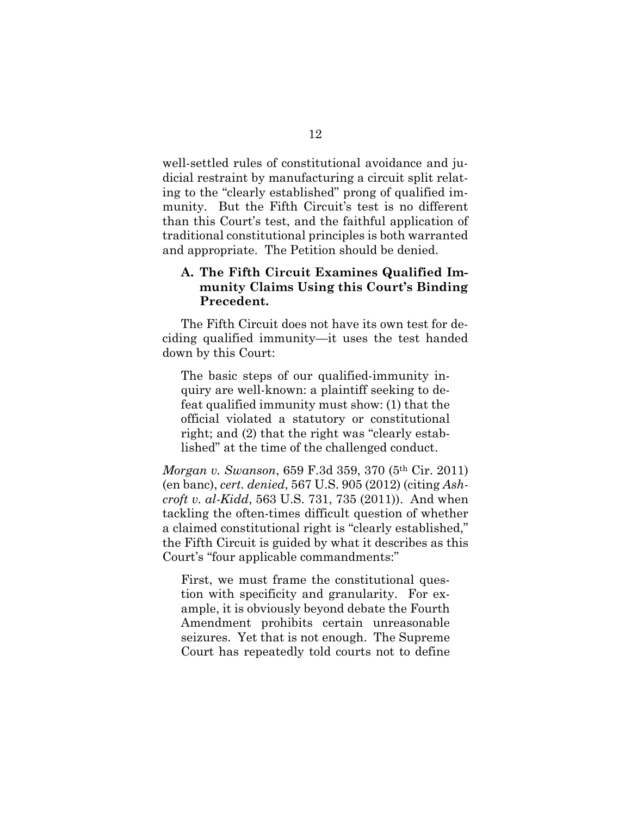well-settled rules of constitutional avoidance and judicial restraint by manufacturing a circuit split relating to the "clearly established" prong of qualified immunity. But the Fifth Circuit's test is no different than this Court's test, and the faithful application of traditional constitutional principles is both warranted and appropriate. The Petition should be denied.

### **A. The Fifth Circuit Examines Qualified Immunity Claims Using this Court's Binding Precedent.**

The Fifth Circuit does not have its own test for deciding qualified immunity—it uses the test handed down by this Court:

The basic steps of our qualified-immunity inquiry are well-known: a plaintiff seeking to defeat qualified immunity must show: (1) that the official violated a statutory or constitutional right; and (2) that the right was "clearly established" at the time of the challenged conduct.

*Morgan v. Swanson*, 659 F.3d 359, 370 (5th Cir. 2011) (en banc), *cert. denied*, 567 U.S. 905 (2012) (citing *Ashcroft v. al-Kidd*, 563 U.S. 731, 735 (2011)). And when tackling the often-times difficult question of whether a claimed constitutional right is "clearly established," the Fifth Circuit is guided by what it describes as this Court's "four applicable commandments:"

First, we must frame the constitutional question with specificity and granularity. For example, it is obviously beyond debate the Fourth Amendment prohibits certain unreasonable seizures. Yet that is not enough. The Supreme Court has repeatedly told courts not to define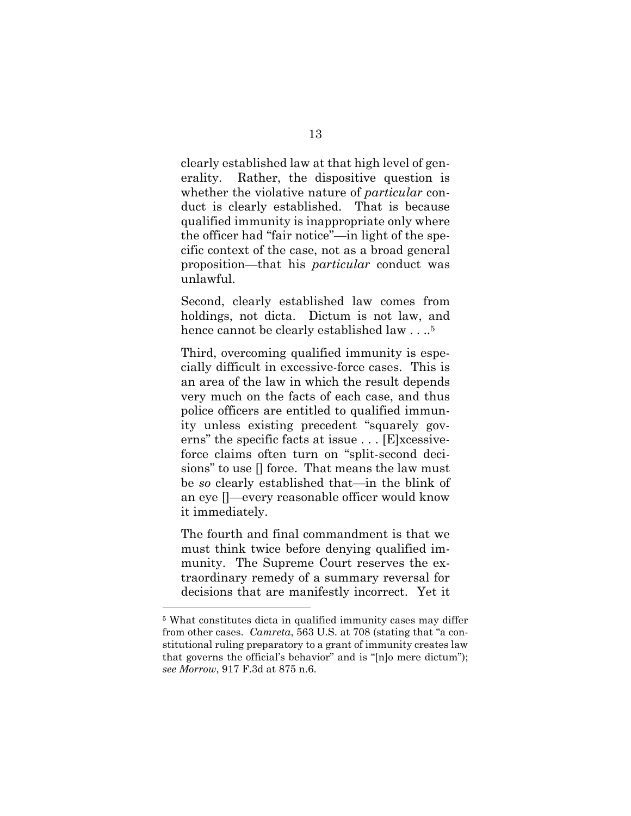clearly established law at that high level of generality. Rather, the dispositive question is whether the violative nature of *particular* conduct is clearly established. That is because qualified immunity is inappropriate only where the officer had "fair notice"—in light of the specific context of the case, not as a broad general proposition—that his *particular* conduct was unlawful.

Second, clearly established law comes from holdings, not dicta. Dictum is not law, and hence cannot be clearly established law . . ..<sup>5</sup>

Third, overcoming qualified immunity is especially difficult in excessive-force cases. This is an area of the law in which the result depends very much on the facts of each case, and thus police officers are entitled to qualified immunity unless existing precedent "squarely governs" the specific facts at issue . . . [E]xcessiveforce claims often turn on "split-second decisions" to use [] force. That means the law must be *so* clearly established that—in the blink of an eye []—every reasonable officer would know it immediately.

The fourth and final commandment is that we must think twice before denying qualified immunity. The Supreme Court reserves the extraordinary remedy of a summary reversal for decisions that are manifestly incorrect. Yet it

<sup>5</sup> What constitutes dicta in qualified immunity cases may differ from other cases. *Camreta*, 563 U.S. at 708 (stating that "a constitutional ruling preparatory to a grant of immunity creates law that governs the official's behavior" and is "[n]o mere dictum"); *see Morrow*, 917 F.3d at 875 n.6.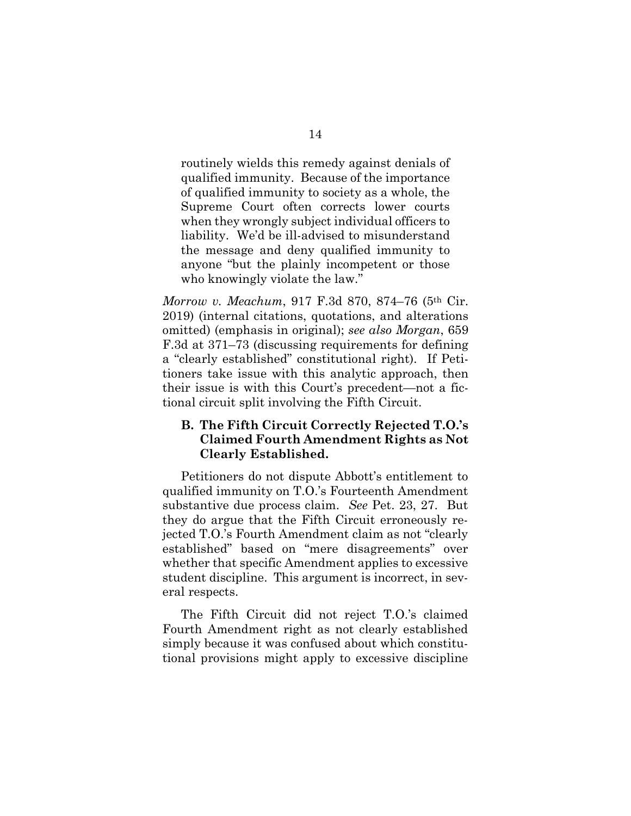routinely wields this remedy against denials of qualified immunity. Because of the importance of qualified immunity to society as a whole, the Supreme Court often corrects lower courts when they wrongly subject individual officers to liability. We'd be ill-advised to misunderstand the message and deny qualified immunity to anyone "but the plainly incompetent or those who knowingly violate the law."

*Morrow v. Meachum*, 917 F.3d 870, 874–76 (5th Cir. 2019) (internal citations, quotations, and alterations omitted) (emphasis in original); *see also Morgan*, 659 F.3d at 371–73 (discussing requirements for defining a "clearly established" constitutional right). If Petitioners take issue with this analytic approach, then their issue is with this Court's precedent—not a fictional circuit split involving the Fifth Circuit.

## **B. The Fifth Circuit Correctly Rejected T.O.'s Claimed Fourth Amendment Rights as Not Clearly Established.**

Petitioners do not dispute Abbott's entitlement to qualified immunity on T.O.'s Fourteenth Amendment substantive due process claim. *See* Pet. 23, 27. But they do argue that the Fifth Circuit erroneously rejected T.O.'s Fourth Amendment claim as not "clearly established" based on "mere disagreements" over whether that specific Amendment applies to excessive student discipline. This argument is incorrect, in several respects.

The Fifth Circuit did not reject T.O.'s claimed Fourth Amendment right as not clearly established simply because it was confused about which constitutional provisions might apply to excessive discipline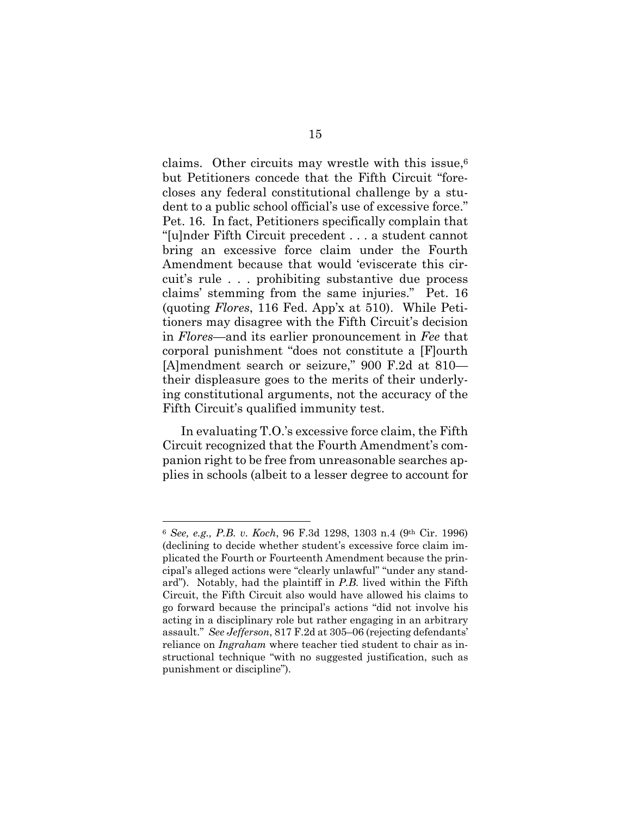claims. Other circuits may wrestle with this issue, $6$ but Petitioners concede that the Fifth Circuit "forecloses any federal constitutional challenge by a student to a public school official's use of excessive force." Pet. 16. In fact, Petitioners specifically complain that "[u]nder Fifth Circuit precedent . . . a student cannot bring an excessive force claim under the Fourth Amendment because that would 'eviscerate this circuit's rule . . . prohibiting substantive due process claims' stemming from the same injuries." Pet. 16 (quoting *Flores*, 116 Fed. App'x at 510). While Petitioners may disagree with the Fifth Circuit's decision in *Flores*—and its earlier pronouncement in *Fee* that corporal punishment "does not constitute a [F]ourth [A]mendment search or seizure," 900 F.2d at 810 their displeasure goes to the merits of their underlying constitutional arguments, not the accuracy of the Fifth Circuit's qualified immunity test.

In evaluating T.O.'s excessive force claim, the Fifth Circuit recognized that the Fourth Amendment's companion right to be free from unreasonable searches applies in schools (albeit to a lesser degree to account for

<sup>6</sup> *See, e.g., P.B. v. Koch*, 96 F.3d 1298, 1303 n.4 (9th Cir. 1996) (declining to decide whether student's excessive force claim implicated the Fourth or Fourteenth Amendment because the principal's alleged actions were "clearly unlawful" "under any standard"). Notably, had the plaintiff in *P.B.* lived within the Fifth Circuit, the Fifth Circuit also would have allowed his claims to go forward because the principal's actions "did not involve his acting in a disciplinary role but rather engaging in an arbitrary assault." *See Jefferson*, 817 F.2d at 305–06 (rejecting defendants' reliance on *Ingraham* where teacher tied student to chair as instructional technique "with no suggested justification, such as punishment or discipline").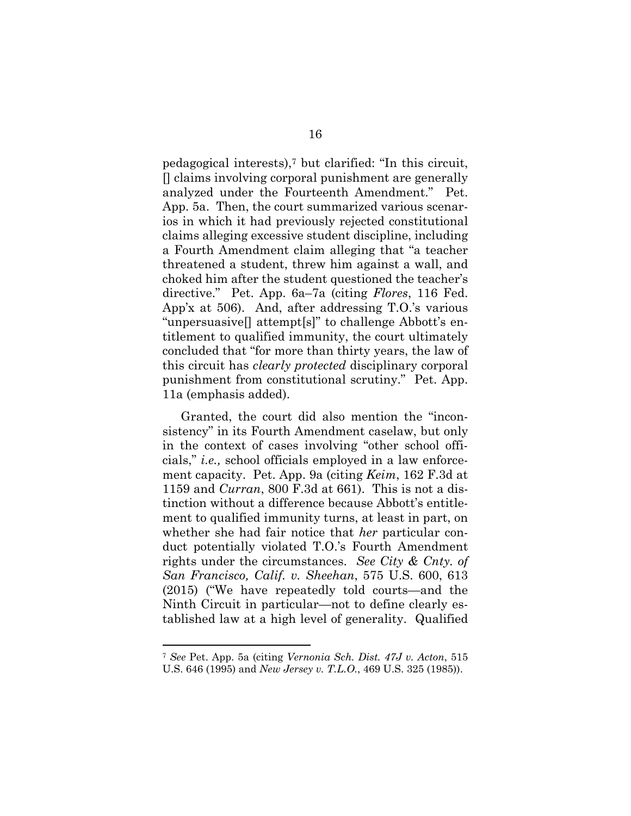pedagogical interests),7 but clarified: "In this circuit, [] claims involving corporal punishment are generally analyzed under the Fourteenth Amendment." Pet. App. 5a. Then, the court summarized various scenarios in which it had previously rejected constitutional claims alleging excessive student discipline, including a Fourth Amendment claim alleging that "a teacher threatened a student, threw him against a wall, and choked him after the student questioned the teacher's directive." Pet. App. 6a–7a (citing *Flores*, 116 Fed. App'x at 506). And, after addressing T.O.'s various "unpersuasive[] attempt[s]" to challenge Abbott's entitlement to qualified immunity, the court ultimately concluded that "for more than thirty years, the law of this circuit has *clearly protected* disciplinary corporal punishment from constitutional scrutiny." Pet. App. 11a (emphasis added).

Granted, the court did also mention the "inconsistency" in its Fourth Amendment caselaw, but only in the context of cases involving "other school officials," *i.e.,* school officials employed in a law enforcement capacity. Pet. App. 9a (citing *Keim*, 162 F.3d at 1159 and *Curran*, 800 F.3d at 661). This is not a distinction without a difference because Abbott's entitlement to qualified immunity turns, at least in part, on whether she had fair notice that *her* particular conduct potentially violated T.O.'s Fourth Amendment rights under the circumstances. *See City & Cnty. of San Francisco, Calif. v. Sheehan*, 575 U.S. 600, 613 (2015) ("We have repeatedly told courts—and the Ninth Circuit in particular—not to define clearly established law at a high level of generality. Qualified

<sup>7</sup> *See* Pet. App. 5a (citing *Vernonia Sch. Dist. 47J v. Acton*, 515 U.S. 646 (1995) and *New Jersey v. T.L.O.*, 469 U.S. 325 (1985)).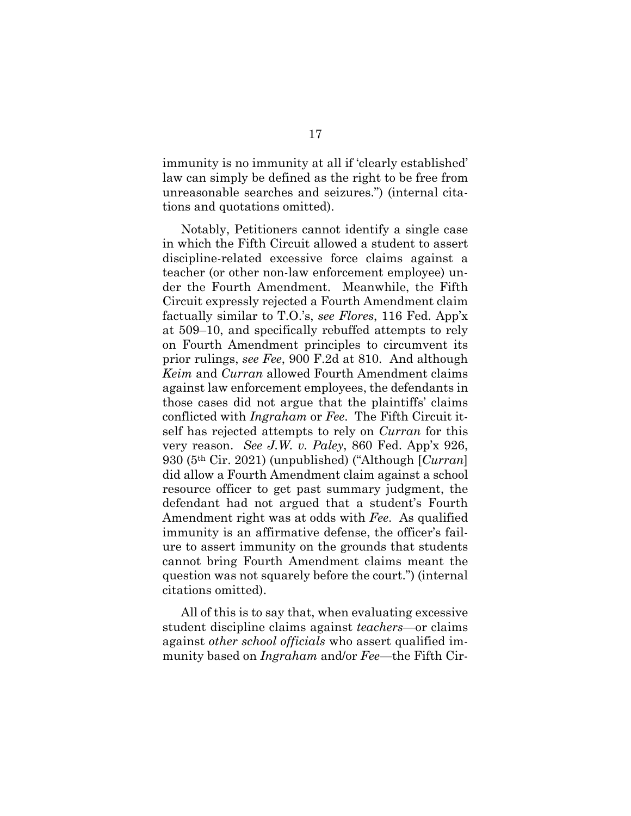immunity is no immunity at all if 'clearly established' law can simply be defined as the right to be free from unreasonable searches and seizures.") (internal citations and quotations omitted).

Notably, Petitioners cannot identify a single case in which the Fifth Circuit allowed a student to assert discipline-related excessive force claims against a teacher (or other non-law enforcement employee) under the Fourth Amendment. Meanwhile, the Fifth Circuit expressly rejected a Fourth Amendment claim factually similar to T.O.'s, *see Flores*, 116 Fed. App'x at 509–10, and specifically rebuffed attempts to rely on Fourth Amendment principles to circumvent its prior rulings, *see Fee*, 900 F.2d at 810. And although *Keim* and *Curran* allowed Fourth Amendment claims against law enforcement employees, the defendants in those cases did not argue that the plaintiffs' claims conflicted with *Ingraham* or *Fee*. The Fifth Circuit itself has rejected attempts to rely on *Curran* for this very reason. *See J.W. v. Paley*, 860 Fed. App'x 926, 930 (5th Cir. 2021) (unpublished) ("Although [*Curran*] did allow a Fourth Amendment claim against a school resource officer to get past summary judgment, the defendant had not argued that a student's Fourth Amendment right was at odds with *Fee*. As qualified immunity is an affirmative defense, the officer's failure to assert immunity on the grounds that students cannot bring Fourth Amendment claims meant the question was not squarely before the court.") (internal citations omitted).

All of this is to say that, when evaluating excessive student discipline claims against *teachers*—or claims against *other school officials* who assert qualified immunity based on *Ingraham* and/or *Fee*—the Fifth Cir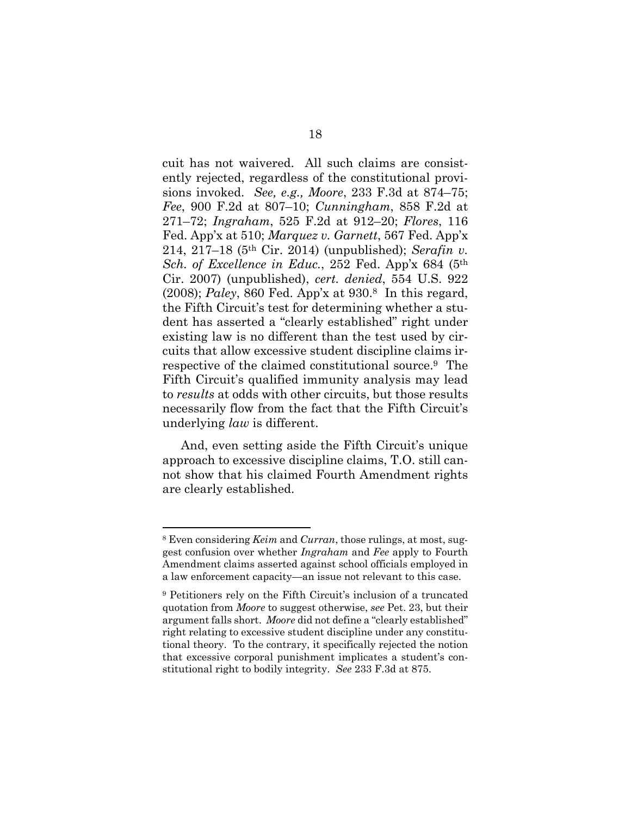cuit has not waivered. All such claims are consistently rejected, regardless of the constitutional provisions invoked. *See, e.g., Moore*, 233 F.3d at 874–75; *Fee*, 900 F.2d at 807–10; *Cunningham*, 858 F.2d at 271–72; *Ingraham*, 525 F.2d at 912–20; *Flores*, 116 Fed. App'x at 510; *Marquez v. Garnett*, 567 Fed. App'x 214, 217–18 (5th Cir. 2014) (unpublished); *Serafin v. Sch. of Excellence in Educ.*, 252 Fed. App'x 684 (5th Cir. 2007) (unpublished), *cert. denied*, 554 U.S. 922 (2008); *Paley*, 860 Fed. App'x at 930.8 In this regard, the Fifth Circuit's test for determining whether a student has asserted a "clearly established" right under existing law is no different than the test used by circuits that allow excessive student discipline claims irrespective of the claimed constitutional source.9 The Fifth Circuit's qualified immunity analysis may lead to *results* at odds with other circuits, but those results necessarily flow from the fact that the Fifth Circuit's underlying *law* is different.

And, even setting aside the Fifth Circuit's unique approach to excessive discipline claims, T.O. still cannot show that his claimed Fourth Amendment rights are clearly established.

<sup>8</sup> Even considering *Keim* and *Curran*, those rulings, at most, suggest confusion over whether *Ingraham* and *Fee* apply to Fourth Amendment claims asserted against school officials employed in a law enforcement capacity—an issue not relevant to this case.

<sup>9</sup> Petitioners rely on the Fifth Circuit's inclusion of a truncated quotation from *Moore* to suggest otherwise, *see* Pet. 23, but their argument falls short. *Moore* did not define a "clearly established" right relating to excessive student discipline under any constitutional theory. To the contrary, it specifically rejected the notion that excessive corporal punishment implicates a student's constitutional right to bodily integrity. *See* 233 F.3d at 875.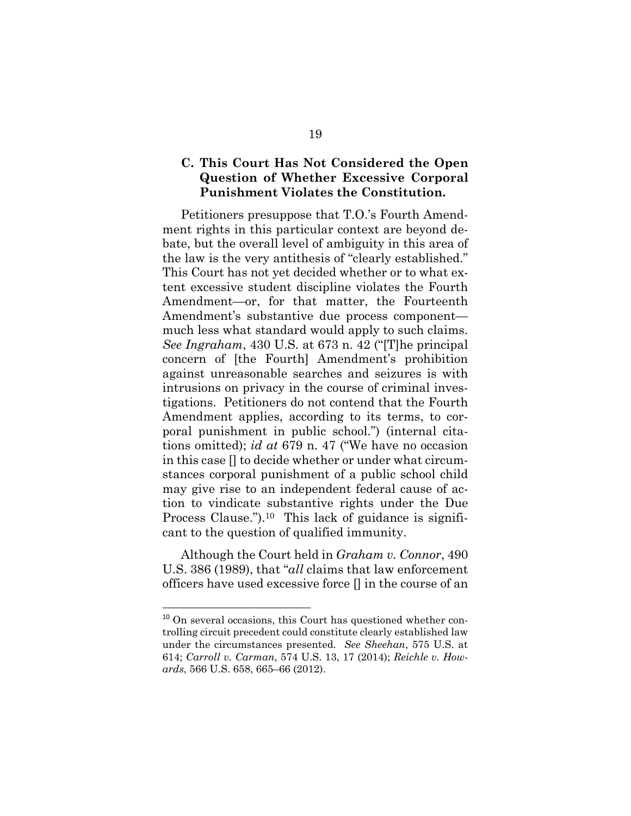## **C. This Court Has Not Considered the Open Question of Whether Excessive Corporal Punishment Violates the Constitution.**

Petitioners presuppose that T.O.'s Fourth Amendment rights in this particular context are beyond debate, but the overall level of ambiguity in this area of the law is the very antithesis of "clearly established." This Court has not yet decided whether or to what extent excessive student discipline violates the Fourth Amendment—or, for that matter, the Fourteenth Amendment's substantive due process component much less what standard would apply to such claims. *See Ingraham*, 430 U.S. at 673 n. 42 ("[T]he principal concern of [the Fourth] Amendment's prohibition against unreasonable searches and seizures is with intrusions on privacy in the course of criminal investigations. Petitioners do not contend that the Fourth Amendment applies, according to its terms, to corporal punishment in public school.") (internal citations omitted); *id at* 679 n. 47 ("We have no occasion in this case [] to decide whether or under what circumstances corporal punishment of a public school child may give rise to an independent federal cause of action to vindicate substantive rights under the Due Process Clause.").<sup>10</sup> This lack of guidance is significant to the question of qualified immunity.

Although the Court held in *Graham v. Connor*, 490 U.S. 386 (1989), that "*all* claims that law enforcement officers have used excessive force [] in the course of an

<sup>&</sup>lt;sup>10</sup> On several occasions, this Court has questioned whether controlling circuit precedent could constitute clearly established law under the circumstances presented. *See Sheehan*, 575 U.S. at 614; *Carroll v. Carman*, 574 U.S. 13, 17 (2014); *Reichle v. Howards*, 566 U.S. 658, 665–66 (2012).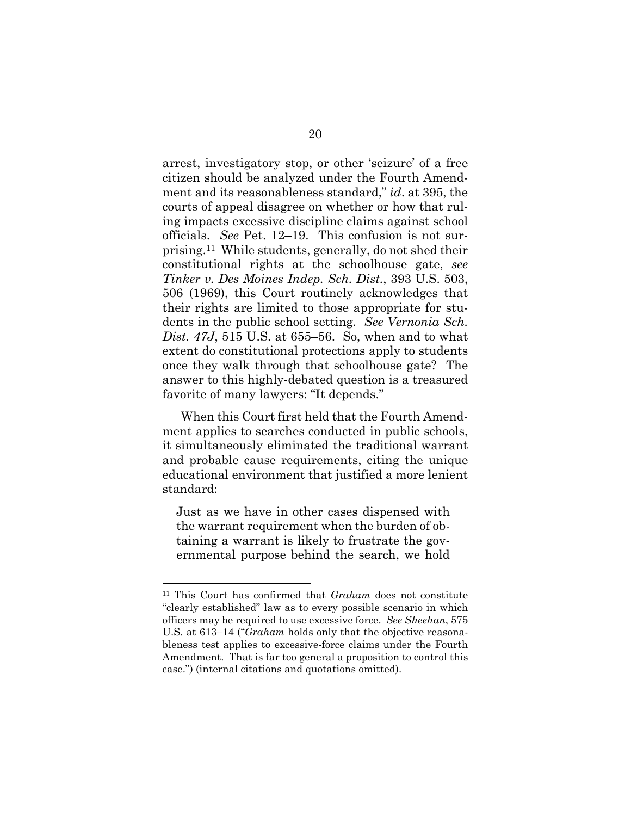arrest, investigatory stop, or other 'seizure' of a free citizen should be analyzed under the Fourth Amendment and its reasonableness standard," *id*. at 395, the courts of appeal disagree on whether or how that ruling impacts excessive discipline claims against school officials. *See* Pet. 12–19. This confusion is not surprising.11 While students, generally, do not shed their constitutional rights at the schoolhouse gate, *see Tinker v. Des Moines Indep. Sch. Dist.*, 393 U.S. 503, 506 (1969), this Court routinely acknowledges that their rights are limited to those appropriate for students in the public school setting. *See Vernonia Sch. Dist. 47J*, 515 U.S. at 655–56. So, when and to what extent do constitutional protections apply to students once they walk through that schoolhouse gate? The answer to this highly-debated question is a treasured favorite of many lawyers: "It depends."

When this Court first held that the Fourth Amendment applies to searches conducted in public schools, it simultaneously eliminated the traditional warrant and probable cause requirements, citing the unique educational environment that justified a more lenient standard:

Just as we have in other cases dispensed with the warrant requirement when the burden of obtaining a warrant is likely to frustrate the governmental purpose behind the search, we hold

<sup>11</sup> This Court has confirmed that *Graham* does not constitute "clearly established" law as to every possible scenario in which officers may be required to use excessive force. *See Sheehan*, 575 U.S. at 613–14 ("*Graham* holds only that the objective reasonableness test applies to excessive-force claims under the Fourth Amendment. That is far too general a proposition to control this case.") (internal citations and quotations omitted).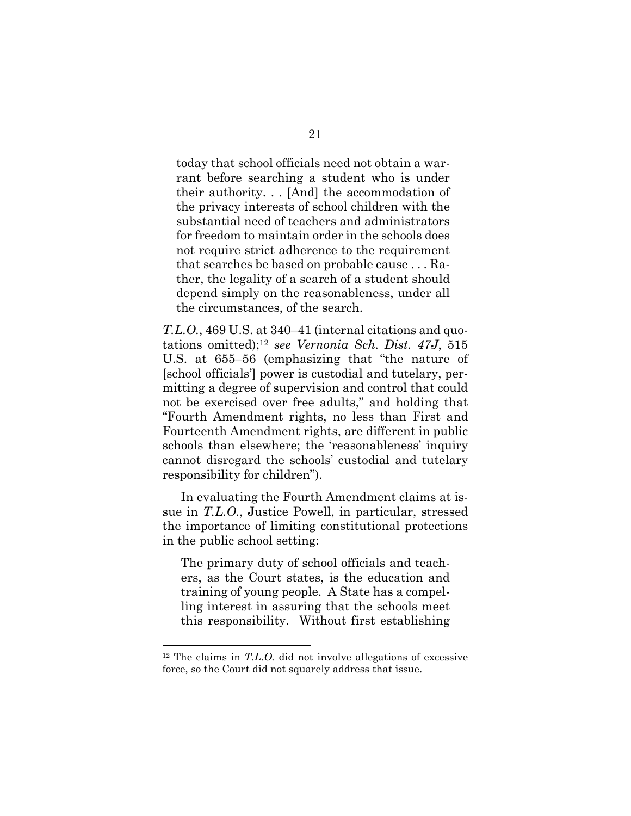today that school officials need not obtain a warrant before searching a student who is under their authority. . . [And] the accommodation of the privacy interests of school children with the substantial need of teachers and administrators for freedom to maintain order in the schools does not require strict adherence to the requirement that searches be based on probable cause . . . Rather, the legality of a search of a student should depend simply on the reasonableness, under all the circumstances, of the search.

*T.L.O.*, 469 U.S. at 340–41 (internal citations and quotations omitted);12 *see Vernonia Sch. Dist. 47J*, 515 U.S. at 655–56 (emphasizing that "the nature of [school officials'] power is custodial and tutelary, permitting a degree of supervision and control that could not be exercised over free adults," and holding that "Fourth Amendment rights, no less than First and Fourteenth Amendment rights, are different in public schools than elsewhere; the 'reasonableness' inquiry cannot disregard the schools' custodial and tutelary responsibility for children").

In evaluating the Fourth Amendment claims at issue in *T.L.O.*, Justice Powell, in particular, stressed the importance of limiting constitutional protections in the public school setting:

The primary duty of school officials and teachers, as the Court states, is the education and training of young people. A State has a compelling interest in assuring that the schools meet this responsibility. Without first establishing

<sup>&</sup>lt;sup>12</sup> The claims in *T.L.O.* did not involve allegations of excessive force, so the Court did not squarely address that issue.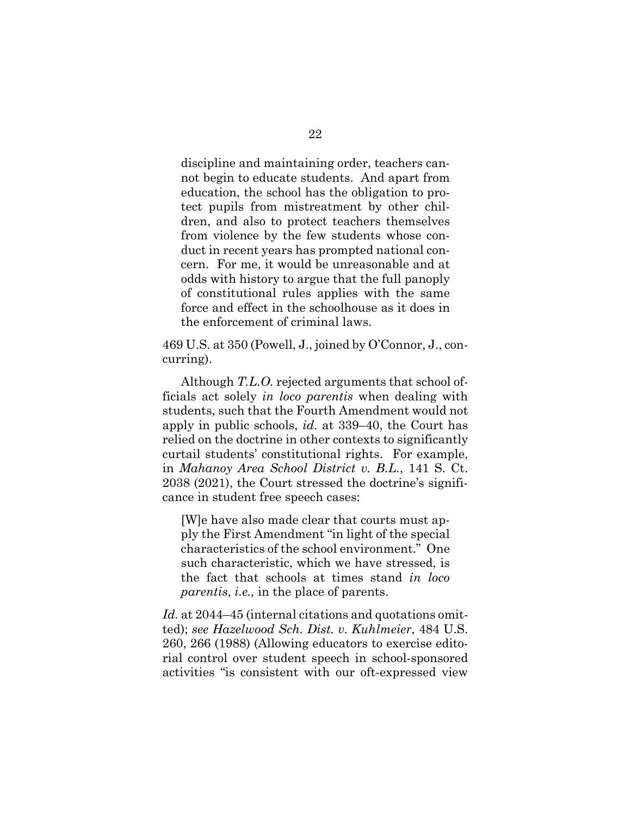discipline and maintaining order, teachers cannot begin to educate students. And apart from education, the school has the obligation to protect pupils from mistreatment by other children, and also to protect teachers themselves from violence by the few students whose conduct in recent years has prompted national concern. For me, it would be unreasonable and at odds with history to argue that the full panoply of constitutional rules applies with the same force and effect in the schoolhouse as it does in the enforcement of criminal laws.

469 U.S. at 350 (Powell, J., joined by O'Connor, J., concurring).

Although *T.L.O.* rejected arguments that school officials act solely *in loco parentis* when dealing with students, such that the Fourth Amendment would not apply in public schools, *id.* at 339–40, the Court has relied on the doctrine in other contexts to significantly curtail students' constitutional rights. For example, in *Mahanoy Area School District v. B.L.*, 141 S. Ct. 2038 (2021), the Court stressed the doctrine's significance in student free speech cases:

[W]e have also made clear that courts must apply the First Amendment "in light of the special characteristics of the school environment." One such characteristic, which we have stressed, is the fact that schools at times stand *in loco parentis*, *i.e.,* in the place of parents.

*Id.* at 2044–45 (internal citations and quotations omitted); *see Hazelwood Sch. Dist. v. Kuhlmeier*, 484 U.S. 260, 266 (1988) (Allowing educators to exercise editorial control over student speech in school-sponsored activities "is consistent with our oft-expressed view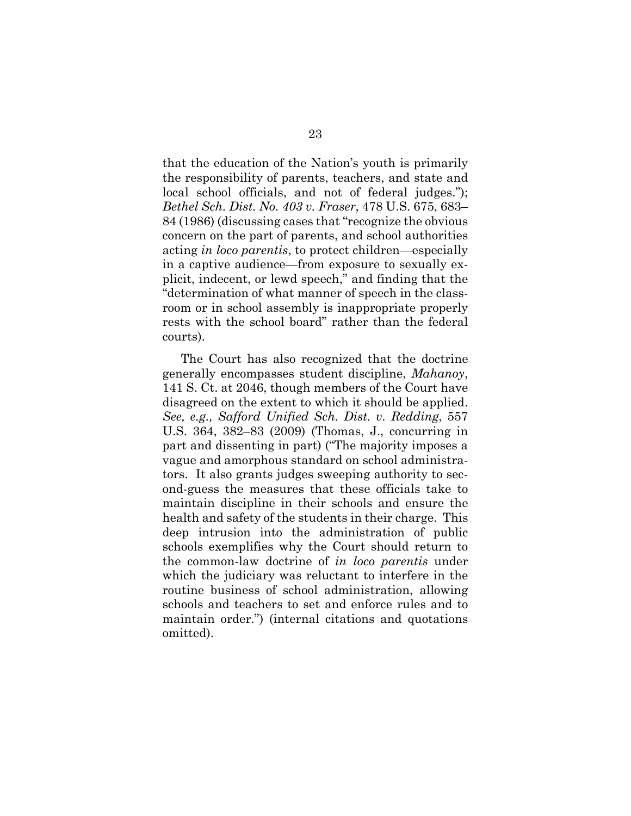that the education of the Nation's youth is primarily the responsibility of parents, teachers, and state and local school officials, and not of federal judges."); *Bethel Sch. Dist. No. 403 v. Fraser*, 478 U.S. 675, 683– 84 (1986) (discussing cases that "recognize the obvious concern on the part of parents, and school authorities acting *in loco parentis*, to protect children—especially in a captive audience—from exposure to sexually explicit, indecent, or lewd speech," and finding that the "determination of what manner of speech in the classroom or in school assembly is inappropriate properly rests with the school board" rather than the federal courts).

The Court has also recognized that the doctrine generally encompasses student discipline, *Mahanoy*, 141 S. Ct. at 2046, though members of the Court have disagreed on the extent to which it should be applied. *See, e.g., Safford Unified Sch. Dist. v. Redding*, 557 U.S. 364, 382–83 (2009) (Thomas, J., concurring in part and dissenting in part) ("The majority imposes a vague and amorphous standard on school administrators. It also grants judges sweeping authority to second-guess the measures that these officials take to maintain discipline in their schools and ensure the health and safety of the students in their charge. This deep intrusion into the administration of public schools exemplifies why the Court should return to the common-law doctrine of *in loco parentis* under which the judiciary was reluctant to interfere in the routine business of school administration, allowing schools and teachers to set and enforce rules and to maintain order.") (internal citations and quotations omitted).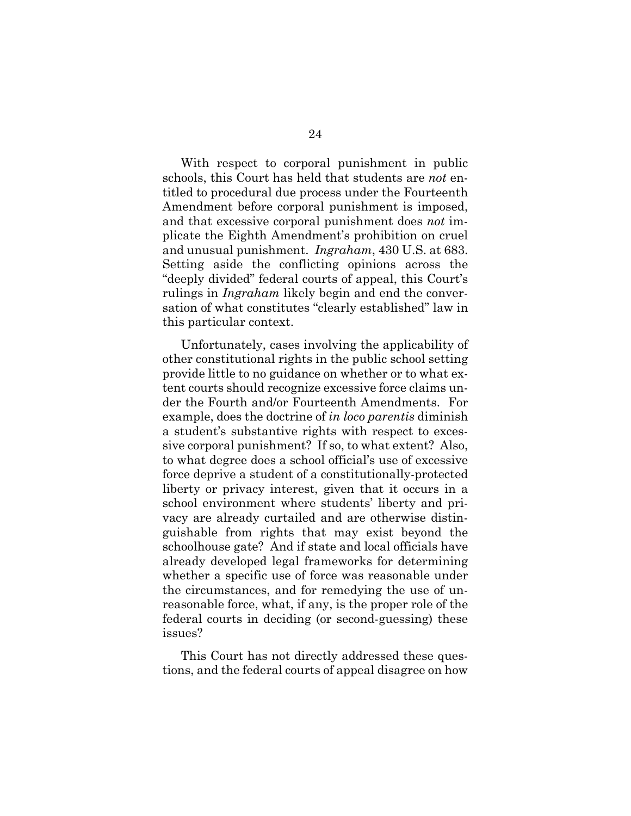With respect to corporal punishment in public schools, this Court has held that students are *not* entitled to procedural due process under the Fourteenth Amendment before corporal punishment is imposed, and that excessive corporal punishment does *not* implicate the Eighth Amendment's prohibition on cruel and unusual punishment. *Ingraham*, 430 U.S. at 683. Setting aside the conflicting opinions across the "deeply divided" federal courts of appeal, this Court's rulings in *Ingraham* likely begin and end the conversation of what constitutes "clearly established" law in this particular context.

Unfortunately, cases involving the applicability of other constitutional rights in the public school setting provide little to no guidance on whether or to what extent courts should recognize excessive force claims under the Fourth and/or Fourteenth Amendments. For example, does the doctrine of *in loco parentis* diminish a student's substantive rights with respect to excessive corporal punishment? If so, to what extent? Also, to what degree does a school official's use of excessive force deprive a student of a constitutionally-protected liberty or privacy interest, given that it occurs in a school environment where students' liberty and privacy are already curtailed and are otherwise distinguishable from rights that may exist beyond the schoolhouse gate? And if state and local officials have already developed legal frameworks for determining whether a specific use of force was reasonable under the circumstances, and for remedying the use of unreasonable force, what, if any, is the proper role of the federal courts in deciding (or second-guessing) these issues?

This Court has not directly addressed these questions, and the federal courts of appeal disagree on how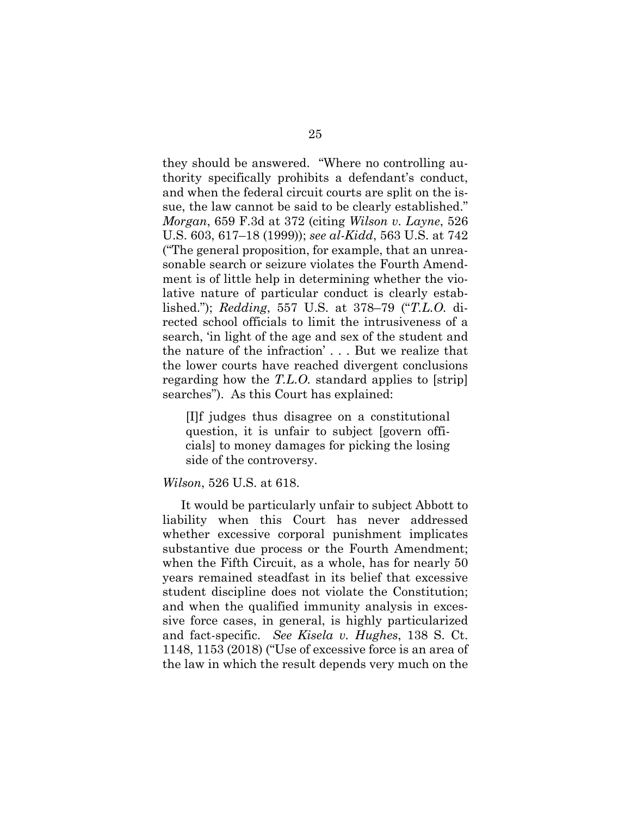they should be answered. "Where no controlling authority specifically prohibits a defendant's conduct, and when the federal circuit courts are split on the issue, the law cannot be said to be clearly established." *Morgan*, 659 F.3d at 372 (citing *Wilson v. Layne*, 526 U.S. 603, 617–18 (1999)); *see al-Kidd*, 563 U.S. at 742 ("The general proposition, for example, that an unreasonable search or seizure violates the Fourth Amendment is of little help in determining whether the violative nature of particular conduct is clearly established."); *Redding*, 557 U.S. at 378–79 ("*T.L.O.* directed school officials to limit the intrusiveness of a search, 'in light of the age and sex of the student and the nature of the infraction' . . . But we realize that the lower courts have reached divergent conclusions regarding how the *T.L.O.* standard applies to [strip] searches"). As this Court has explained:

[I]f judges thus disagree on a constitutional question, it is unfair to subject [govern officials] to money damages for picking the losing side of the controversy.

#### *Wilson*, 526 U.S. at 618.

It would be particularly unfair to subject Abbott to liability when this Court has never addressed whether excessive corporal punishment implicates substantive due process or the Fourth Amendment; when the Fifth Circuit, as a whole, has for nearly 50 years remained steadfast in its belief that excessive student discipline does not violate the Constitution; and when the qualified immunity analysis in excessive force cases, in general, is highly particularized and fact-specific. *See Kisela v. Hughes*, 138 S. Ct. 1148, 1153 (2018) ("Use of excessive force is an area of the law in which the result depends very much on the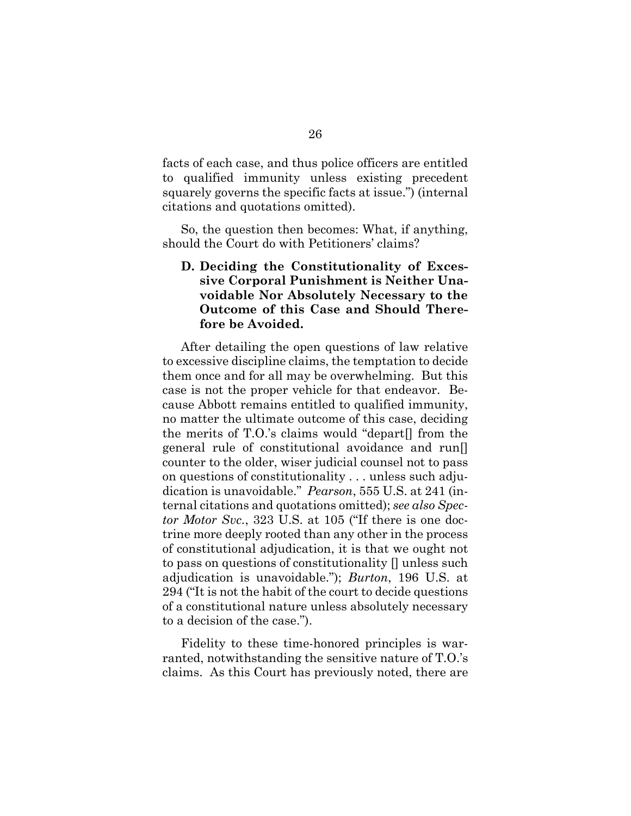facts of each case, and thus police officers are entitled to qualified immunity unless existing precedent squarely governs the specific facts at issue.") (internal citations and quotations omitted).

So, the question then becomes: What, if anything, should the Court do with Petitioners' claims?

## **D. Deciding the Constitutionality of Excessive Corporal Punishment is Neither Unavoidable Nor Absolutely Necessary to the Outcome of this Case and Should Therefore be Avoided.**

After detailing the open questions of law relative to excessive discipline claims, the temptation to decide them once and for all may be overwhelming. But this case is not the proper vehicle for that endeavor. Because Abbott remains entitled to qualified immunity, no matter the ultimate outcome of this case, deciding the merits of T.O.'s claims would "depart[] from the general rule of constitutional avoidance and run[] counter to the older, wiser judicial counsel not to pass on questions of constitutionality . . . unless such adjudication is unavoidable." *Pearson*, 555 U.S. at 241 (internal citations and quotations omitted); *see also Spector Motor Svc.*, 323 U.S. at 105 ("If there is one doctrine more deeply rooted than any other in the process of constitutional adjudication, it is that we ought not to pass on questions of constitutionality [] unless such adjudication is unavoidable."); *Burton*, 196 U.S. at 294 ("It is not the habit of the court to decide questions of a constitutional nature unless absolutely necessary to a decision of the case.").

Fidelity to these time-honored principles is warranted, notwithstanding the sensitive nature of T.O.'s claims. As this Court has previously noted, there are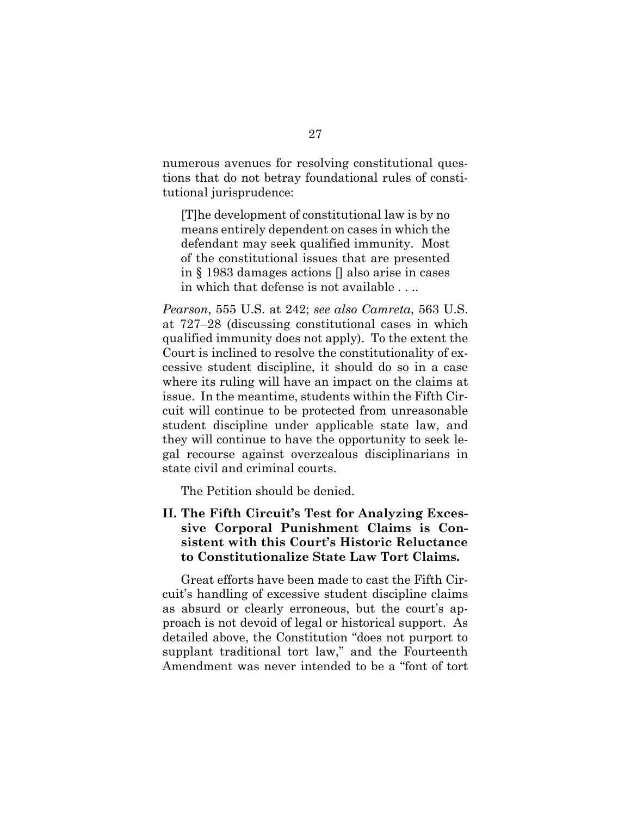numerous avenues for resolving constitutional questions that do not betray foundational rules of constitutional jurisprudence:

[T]he development of constitutional law is by no means entirely dependent on cases in which the defendant may seek qualified immunity. Most of the constitutional issues that are presented in § 1983 damages actions [] also arise in cases in which that defense is not available . . ..

*Pearson*, 555 U.S. at 242; *see also Camreta*, 563 U.S. at 727–28 (discussing constitutional cases in which qualified immunity does not apply). To the extent the Court is inclined to resolve the constitutionality of excessive student discipline, it should do so in a case where its ruling will have an impact on the claims at issue. In the meantime, students within the Fifth Circuit will continue to be protected from unreasonable student discipline under applicable state law, and they will continue to have the opportunity to seek legal recourse against overzealous disciplinarians in state civil and criminal courts.

The Petition should be denied.

**II. The Fifth Circuit's Test for Analyzing Excessive Corporal Punishment Claims is Consistent with this Court's Historic Reluctance to Constitutionalize State Law Tort Claims.** 

Great efforts have been made to cast the Fifth Circuit's handling of excessive student discipline claims as absurd or clearly erroneous, but the court's approach is not devoid of legal or historical support. As detailed above, the Constitution "does not purport to supplant traditional tort law," and the Fourteenth Amendment was never intended to be a "font of tort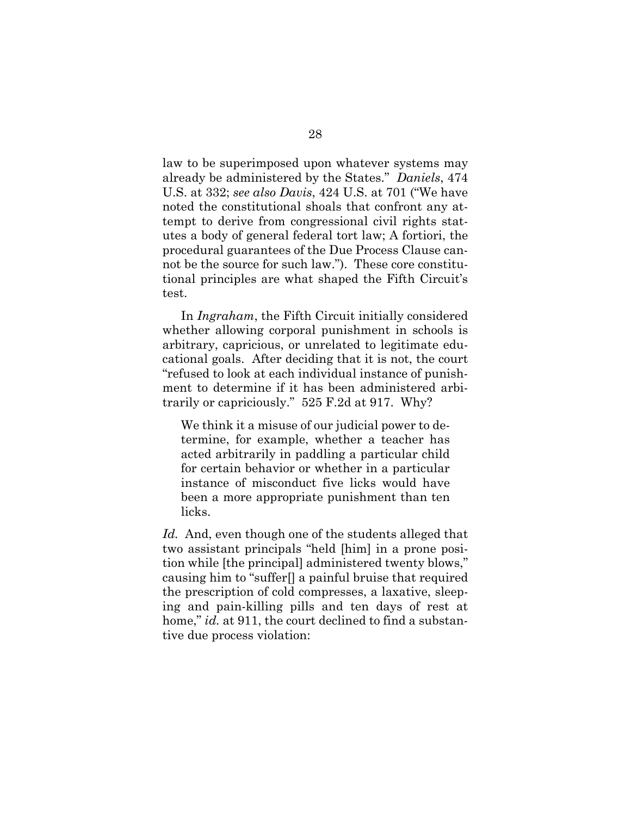law to be superimposed upon whatever systems may already be administered by the States." *Daniels*, 474 U.S. at 332; *see also Davis*, 424 U.S. at 701 ("We have noted the constitutional shoals that confront any attempt to derive from congressional civil rights statutes a body of general federal tort law; A fortiori, the procedural guarantees of the Due Process Clause cannot be the source for such law."). These core constitutional principles are what shaped the Fifth Circuit's test.

In *Ingraham*, the Fifth Circuit initially considered whether allowing corporal punishment in schools is arbitrary, capricious, or unrelated to legitimate educational goals. After deciding that it is not, the court "refused to look at each individual instance of punishment to determine if it has been administered arbitrarily or capriciously." 525 F.2d at 917. Why?

We think it a misuse of our judicial power to determine, for example, whether a teacher has acted arbitrarily in paddling a particular child for certain behavior or whether in a particular instance of misconduct five licks would have been a more appropriate punishment than ten licks.

*Id.* And, even though one of the students alleged that two assistant principals "held [him] in a prone position while [the principal] administered twenty blows," causing him to "suffer[] a painful bruise that required the prescription of cold compresses, a laxative, sleeping and pain-killing pills and ten days of rest at home," *id.* at 911, the court declined to find a substantive due process violation: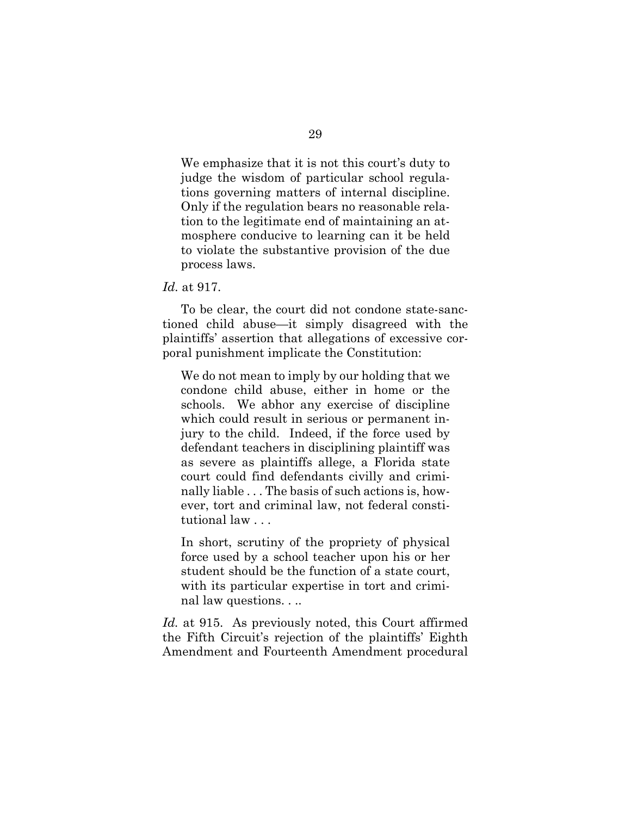We emphasize that it is not this court's duty to judge the wisdom of particular school regulations governing matters of internal discipline. Only if the regulation bears no reasonable relation to the legitimate end of maintaining an atmosphere conducive to learning can it be held to violate the substantive provision of the due process laws.

*Id.* at 917.

To be clear, the court did not condone state-sanctioned child abuse—it simply disagreed with the plaintiffs' assertion that allegations of excessive corporal punishment implicate the Constitution:

We do not mean to imply by our holding that we condone child abuse, either in home or the schools. We abhor any exercise of discipline which could result in serious or permanent injury to the child. Indeed, if the force used by defendant teachers in disciplining plaintiff was as severe as plaintiffs allege, a Florida state court could find defendants civilly and criminally liable . . . The basis of such actions is, however, tort and criminal law, not federal constitutional law . . .

In short, scrutiny of the propriety of physical force used by a school teacher upon his or her student should be the function of a state court, with its particular expertise in tort and criminal law questions. . ..

*Id.* at 915. As previously noted, this Court affirmed the Fifth Circuit's rejection of the plaintiffs' Eighth Amendment and Fourteenth Amendment procedural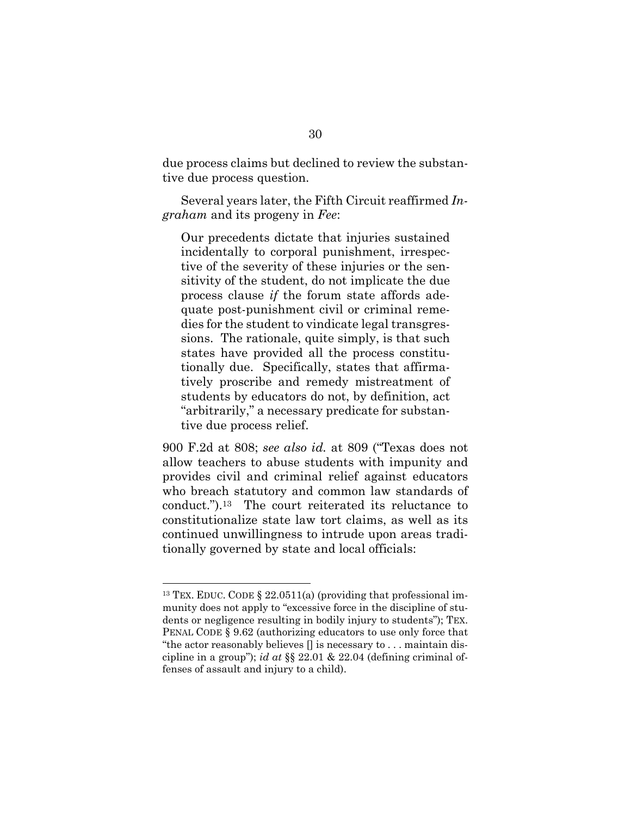due process claims but declined to review the substantive due process question.

Several years later, the Fifth Circuit reaffirmed *Ingraham* and its progeny in *Fee*:

Our precedents dictate that injuries sustained incidentally to corporal punishment, irrespective of the severity of these injuries or the sensitivity of the student, do not implicate the due process clause *if* the forum state affords adequate post-punishment civil or criminal remedies for the student to vindicate legal transgressions. The rationale, quite simply, is that such states have provided all the process constitutionally due. Specifically, states that affirmatively proscribe and remedy mistreatment of students by educators do not, by definition, act "arbitrarily," a necessary predicate for substantive due process relief.

900 F.2d at 808; *see also id.* at 809 ("Texas does not allow teachers to abuse students with impunity and provides civil and criminal relief against educators who breach statutory and common law standards of conduct.").13 The court reiterated its reluctance to constitutionalize state law tort claims, as well as its continued unwillingness to intrude upon areas traditionally governed by state and local officials:

<sup>&</sup>lt;sup>13</sup> TEX. EDUC. CODE  $\S$  22.0511(a) (providing that professional immunity does not apply to "excessive force in the discipline of students or negligence resulting in bodily injury to students"); TEX. PENAL CODE § 9.62 (authorizing educators to use only force that "the actor reasonably believes [] is necessary to . . . maintain discipline in a group"); *id at* §§ 22.01 & 22.04 (defining criminal offenses of assault and injury to a child).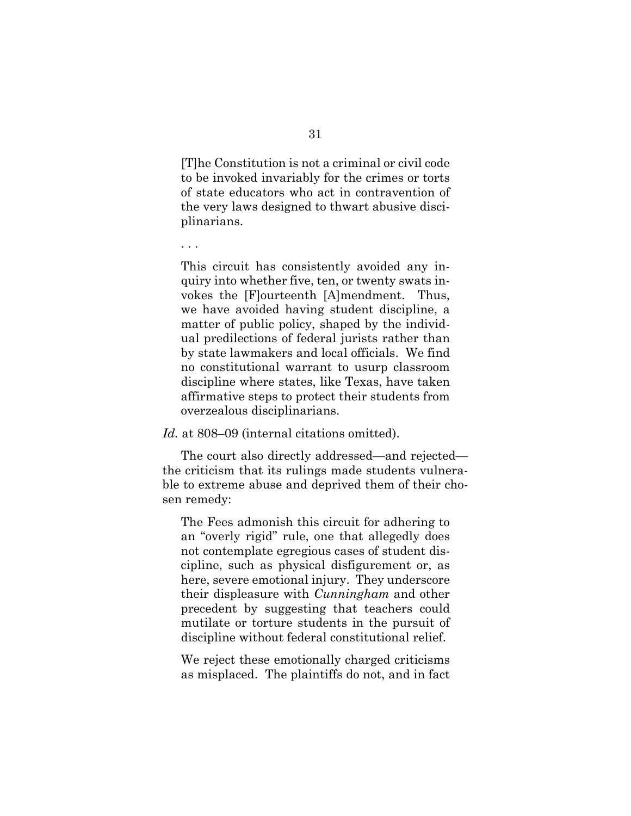[T]he Constitution is not a criminal or civil code to be invoked invariably for the crimes or torts of state educators who act in contravention of the very laws designed to thwart abusive disciplinarians.

. . .

This circuit has consistently avoided any inquiry into whether five, ten, or twenty swats invokes the [F]ourteenth [A]mendment. Thus, we have avoided having student discipline, a matter of public policy, shaped by the individual predilections of federal jurists rather than by state lawmakers and local officials. We find no constitutional warrant to usurp classroom discipline where states, like Texas, have taken affirmative steps to protect their students from overzealous disciplinarians.

*Id.* at 808–09 (internal citations omitted).

 The court also directly addressed—and rejected the criticism that its rulings made students vulnerable to extreme abuse and deprived them of their chosen remedy:

The Fees admonish this circuit for adhering to an "overly rigid" rule, one that allegedly does not contemplate egregious cases of student discipline, such as physical disfigurement or, as here, severe emotional injury. They underscore their displeasure with *Cunningham* and other precedent by suggesting that teachers could mutilate or torture students in the pursuit of discipline without federal constitutional relief.

We reject these emotionally charged criticisms as misplaced. The plaintiffs do not, and in fact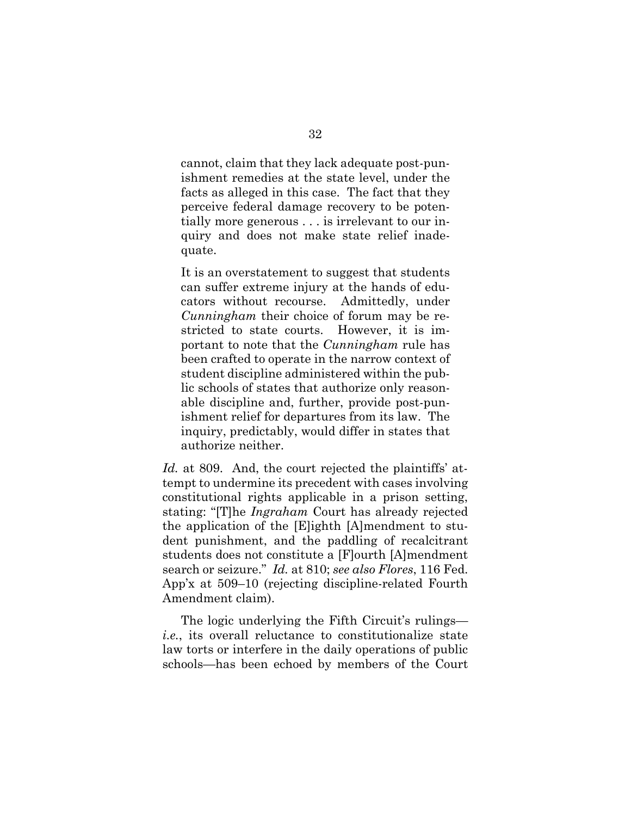cannot, claim that they lack adequate post-punishment remedies at the state level, under the facts as alleged in this case. The fact that they perceive federal damage recovery to be potentially more generous . . . is irrelevant to our inquiry and does not make state relief inadequate.

It is an overstatement to suggest that students can suffer extreme injury at the hands of educators without recourse. Admittedly, under *Cunningham* their choice of forum may be restricted to state courts. However, it is important to note that the *Cunningham* rule has been crafted to operate in the narrow context of student discipline administered within the public schools of states that authorize only reasonable discipline and, further, provide post-punishment relief for departures from its law. The inquiry, predictably, would differ in states that authorize neither.

Id. at 809. And, the court rejected the plaintiffs' attempt to undermine its precedent with cases involving constitutional rights applicable in a prison setting, stating: "[T]he *Ingraham* Court has already rejected the application of the [E]ighth [A]mendment to student punishment, and the paddling of recalcitrant students does not constitute a [F]ourth [A]mendment search or seizure." *Id.* at 810; *see also Flores*, 116 Fed. App'x at 509–10 (rejecting discipline-related Fourth Amendment claim).

 The logic underlying the Fifth Circuit's rulings *i.e.*, its overall reluctance to constitutionalize state law torts or interfere in the daily operations of public schools—has been echoed by members of the Court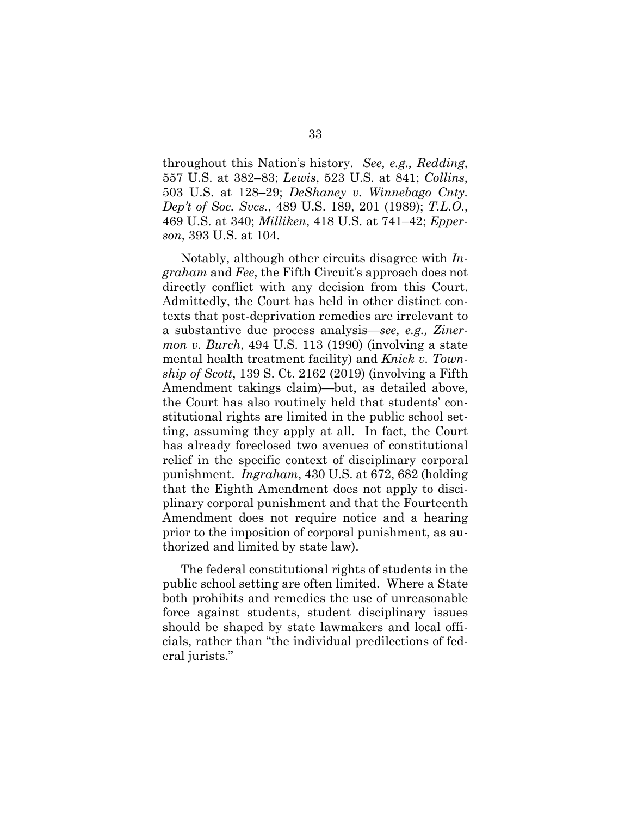throughout this Nation's history. *See, e.g., Redding*, 557 U.S. at 382–83; *Lewis*, 523 U.S. at 841; *Collins*, 503 U.S. at 128–29; *DeShaney v. Winnebago Cnty. Dep't of Soc. Svcs.*, 489 U.S. 189, 201 (1989); *T.L.O.*, 469 U.S. at 340; *Milliken*, 418 U.S. at 741–42; *Epperson*, 393 U.S. at 104.

Notably, although other circuits disagree with *Ingraham* and *Fee*, the Fifth Circuit's approach does not directly conflict with any decision from this Court. Admittedly, the Court has held in other distinct contexts that post-deprivation remedies are irrelevant to a substantive due process analysis—*see, e.g., Zinermon v. Burch*, 494 U.S. 113 (1990) (involving a state mental health treatment facility) and *Knick v. Township of Scott*, 139 S. Ct. 2162 (2019) (involving a Fifth Amendment takings claim)—but, as detailed above, the Court has also routinely held that students' constitutional rights are limited in the public school setting, assuming they apply at all. In fact, the Court has already foreclosed two avenues of constitutional relief in the specific context of disciplinary corporal punishment. *Ingraham*, 430 U.S. at 672, 682 (holding that the Eighth Amendment does not apply to disciplinary corporal punishment and that the Fourteenth Amendment does not require notice and a hearing prior to the imposition of corporal punishment, as authorized and limited by state law).

 The federal constitutional rights of students in the public school setting are often limited. Where a State both prohibits and remedies the use of unreasonable force against students, student disciplinary issues should be shaped by state lawmakers and local officials, rather than "the individual predilections of federal jurists."